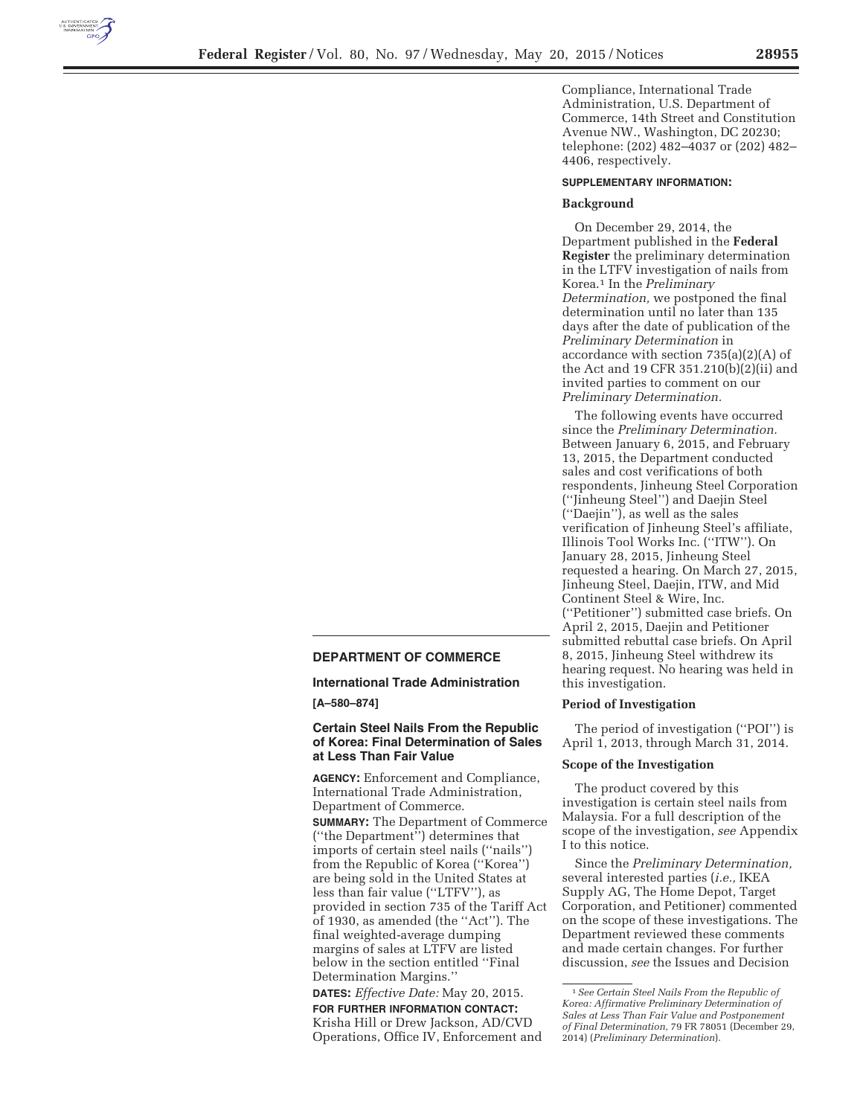

Compliance, International Trade Administration, U.S. Department of Commerce, 14th Street and Constitution Avenue NW., Washington, DC 20230; telephone: (202) 482–4037 or (202) 482– 4406, respectively.

## **SUPPLEMENTARY INFORMATION:**

#### **Background**

On December 29, 2014, the Department published in the **Federal Register** the preliminary determination in the LTFV investigation of nails from Korea.1 In the *Preliminary Determination,* we postponed the final determination until no later than 135 days after the date of publication of the *Preliminary Determination* in accordance with section 735(a)(2)(A) of the Act and 19 CFR 351.210(b)(2)(ii) and invited parties to comment on our *Preliminary Determination.* 

The following events have occurred since the *Preliminary Determination.*  Between January 6, 2015, and February 13, 2015, the Department conducted sales and cost verifications of both respondents, Jinheung Steel Corporation (''Jinheung Steel'') and Daejin Steel (''Daejin''), as well as the sales verification of Jinheung Steel's affiliate, Illinois Tool Works Inc. (''ITW''). On January 28, 2015, Jinheung Steel requested a hearing. On March 27, 2015, Jinheung Steel, Daejin, ITW, and Mid Continent Steel & Wire, Inc. (''Petitioner'') submitted case briefs. On April 2, 2015, Daejin and Petitioner submitted rebuttal case briefs. On April 8, 2015, Jinheung Steel withdrew its hearing request. No hearing was held in this investigation.

#### **Period of Investigation**

The period of investigation (''POI'') is April 1, 2013, through March 31, 2014.

#### **Scope of the Investigation**

The product covered by this investigation is certain steel nails from Malaysia. For a full description of the scope of the investigation, *see* Appendix I to this notice.

Since the *Preliminary Determination,*  several interested parties (*i.e.,* IKEA Supply AG, The Home Depot, Target Corporation, and Petitioner) commented on the scope of these investigations. The Department reviewed these comments and made certain changes. For further discussion, *see* the Issues and Decision

# **DEPARTMENT OF COMMERCE**

**International Trade Administration** 

**[A–580–874]** 

### **Certain Steel Nails From the Republic of Korea: Final Determination of Sales at Less Than Fair Value**

**AGENCY:** Enforcement and Compliance, International Trade Administration, Department of Commerce. **SUMMARY:** The Department of Commerce (''the Department'') determines that imports of certain steel nails (''nails'') from the Republic of Korea (''Korea'')

are being sold in the United States at less than fair value (''LTFV''), as provided in section 735 of the Tariff Act of 1930, as amended (the ''Act''). The final weighted-average dumping margins of sales at LTFV are listed below in the section entitled ''Final Determination Margins.''

**DATES:** *Effective Date:* May 20, 2015. **FOR FURTHER INFORMATION CONTACT:**  Krisha Hill or Drew Jackson, AD/CVD Operations, Office IV, Enforcement and

<sup>1</sup>*See Certain Steel Nails From the Republic of Korea: Affirmative Preliminary Determination of Sales at Less Than Fair Value and Postponement of Final Determination,* 79 FR 78051 (December 29, 2014) (*Preliminary Determination*).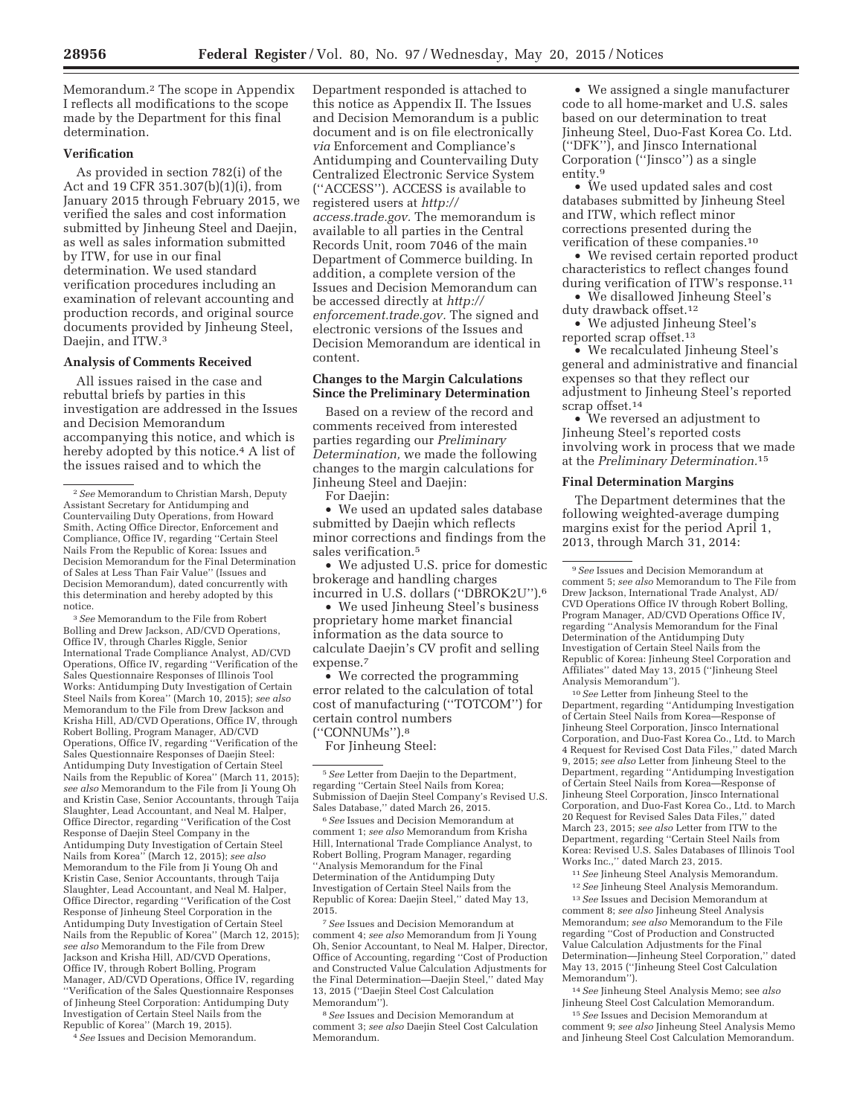Memorandum.2 The scope in Appendix I reflects all modifications to the scope made by the Department for this final determination.

## **Verification**

As provided in section 782(i) of the Act and 19 CFR 351.307(b)(1)(i), from January 2015 through February 2015, we verified the sales and cost information submitted by Jinheung Steel and Daejin, as well as sales information submitted by ITW, for use in our final determination. We used standard verification procedures including an examination of relevant accounting and production records, and original source documents provided by Jinheung Steel, Daejin, and ITW.3

#### **Analysis of Comments Received**

All issues raised in the case and rebuttal briefs by parties in this investigation are addressed in the Issues and Decision Memorandum accompanying this notice, and which is hereby adopted by this notice.<sup>4</sup> A list of the issues raised and to which the

3*See* Memorandum to the File from Robert Bolling and Drew Jackson, AD/CVD Operations, Office IV, through Charles Riggle, Senior International Trade Compliance Analyst, AD/CVD Operations, Office IV, regarding ''Verification of the Sales Questionnaire Responses of Illinois Tool Works: Antidumping Duty Investigation of Certain Steel Nails from Korea'' (March 10, 2015); *see also*  Memorandum to the File from Drew Jackson and Krisha Hill, AD/CVD Operations, Office IV, through Robert Bolling, Program Manager, AD/CVD Operations, Office IV, regarding ''Verification of the Sales Questionnaire Responses of Daejin Steel: Antidumping Duty Investigation of Certain Steel Nails from the Republic of Korea'' (March 11, 2015); *see also* Memorandum to the File from Ji Young Oh and Kristin Case, Senior Accountants, through Taija Slaughter, Lead Accountant, and Neal M. Halper, Office Director, regarding ''Verification of the Cost Response of Daejin Steel Company in the Antidumping Duty Investigation of Certain Steel Nails from Korea'' (March 12, 2015); *see also*  Memorandum to the File from Ji Young Oh and Kristin Case, Senior Accountants, through Taija Slaughter, Lead Accountant, and Neal M. Halper, Office Director, regarding ''Verification of the Cost Response of Jinheung Steel Corporation in the Antidumping Duty Investigation of Certain Steel Nails from the Republic of Korea'' (March 12, 2015); *see also* Memorandum to the File from Drew Jackson and Krisha Hill, AD/CVD Operations, Office IV, through Robert Bolling, Program Manager, AD/CVD Operations, Office IV, regarding ''Verification of the Sales Questionnaire Responses of Jinheung Steel Corporation: Antidumping Duty Investigation of Certain Steel Nails from the Republic of Korea'' (March 19, 2015).

4*See* Issues and Decision Memorandum.

Department responded is attached to this notice as Appendix II. The Issues and Decision Memorandum is a public document and is on file electronically *via* Enforcement and Compliance's Antidumping and Countervailing Duty Centralized Electronic Service System (''ACCESS''). ACCESS is available to registered users at *http:// access.trade.gov.* The memorandum is available to all parties in the Central Records Unit, room 7046 of the main Department of Commerce building. In addition, a complete version of the Issues and Decision Memorandum can be accessed directly at *http:// enforcement.trade.gov.* The signed and electronic versions of the Issues and Decision Memorandum are identical in content.

## **Changes to the Margin Calculations Since the Preliminary Determination**

Based on a review of the record and comments received from interested parties regarding our *Preliminary Determination,* we made the following changes to the margin calculations for Jinheung Steel and Daejin:

For Daejin:

• We used an updated sales database submitted by Daejin which reflects minor corrections and findings from the sales verification.5

• We adjusted U.S. price for domestic brokerage and handling charges incurred in U.S. dollars (''DBROK2U'').6

• We used Jinheung Steel's business proprietary home market financial information as the data source to calculate Daejin's CV profit and selling expense.7

• We corrected the programming error related to the calculation of total cost of manufacturing (''TOTCOM'') for certain control numbers (''CONNUMs'').8

For Jinheung Steel:

6*See* Issues and Decision Memorandum at comment 1; *see also* Memorandum from Krisha Hill, International Trade Compliance Analyst, to Robert Bolling, Program Manager, regarding ''Analysis Memorandum for the Final Determination of the Antidumping Duty Investigation of Certain Steel Nails from the Republic of Korea: Daejin Steel,'' dated May 13, 2015.

7*See* Issues and Decision Memorandum at comment 4; *see also* Memorandum from Ji Young Oh, Senior Accountant, to Neal M. Halper, Director, Office of Accounting, regarding ''Cost of Production and Constructed Value Calculation Adjustments for the Final Determination—Daejin Steel,'' dated May 13, 2015 (''Daejin Steel Cost Calculation Memorandum'').

8*See* Issues and Decision Memorandum at comment 3; *see also* Daejin Steel Cost Calculation Memorandum.

• We assigned a single manufacturer code to all home-market and U.S. sales based on our determination to treat Jinheung Steel, Duo-Fast Korea Co. Ltd. (''DFK''), and Jinsco International Corporation (''Jinsco'') as a single entity.9

• We used updated sales and cost databases submitted by Jinheung Steel and ITW, which reflect minor corrections presented during the verification of these companies.10

• We revised certain reported product characteristics to reflect changes found during verification of ITW's response.<sup>11</sup>

• We disallowed Jinheung Steel's

duty drawback offset.12

• We adjusted Jinheung Steel's reported scrap offset.13

• We recalculated Jinheung Steel's general and administrative and financial expenses so that they reflect our adjustment to Jinheung Steel's reported scrap offset.<sup>14</sup>

• We reversed an adjustment to Jinheung Steel's reported costs involving work in process that we made at the *Preliminary Determination.*15

#### **Final Determination Margins**

The Department determines that the following weighted-average dumping margins exist for the period April 1, 2013, through March 31, 2014:

9*See* Issues and Decision Memorandum at comment 5; *see also* Memorandum to The File from Drew Jackson, International Trade Analyst, AD/ CVD Operations Office IV through Robert Bolling, Program Manager, AD/CVD Operations Office IV regarding ''Analysis Memorandum for the Final Determination of the Antidumping Duty Investigation of Certain Steel Nails from the Republic of Korea: Jinheung Steel Corporation and Affiliates'' dated May 13, 2015 (''Jinheung Steel Analysis Memorandum'').

10*See* Letter from Jinheung Steel to the Department, regarding ''Antidumping Investigation of Certain Steel Nails from Korea—Response of Jinheung Steel Corporation, Jinsco International Corporation, and Duo-Fast Korea Co., Ltd. to March 4 Request for Revised Cost Data Files,'' dated March 9, 2015; *see also* Letter from Jinheung Steel to the Department, regarding ''Antidumping Investigation of Certain Steel Nails from Korea—Response of Jinheung Steel Corporation, Jinsco International Corporation, and Duo-Fast Korea Co., Ltd. to March 20 Request for Revised Sales Data Files,'' dated March 23, 2015; *see also* Letter from ITW to the Department, regarding ''Certain Steel Nails from Korea: Revised U.S. Sales Databases of Illinois Tool Works Inc.,'' dated March 23, 2015.

11*See* Jinheung Steel Analysis Memorandum.

12*See* Jinheung Steel Analysis Memorandum.

13*See* Issues and Decision Memorandum at comment 8; *see also* Jinheung Steel Analysis Memorandum; *see also* Memorandum to the File regarding ''Cost of Production and Constructed Value Calculation Adjustments for the Final Determination—Jinheung Steel Corporation,'' dated May 13, 2015 (''Jinheung Steel Cost Calculation Memorandum'').

14*See* Jinheung Steel Analysis Memo; see *also*  Jinheung Steel Cost Calculation Memorandum.

15*See* Issues and Decision Memorandum at comment 9; *see also* Jinheung Steel Analysis Memo and Jinheung Steel Cost Calculation Memorandum.

<sup>2</sup>*See* Memorandum to Christian Marsh, Deputy Assistant Secretary for Antidumping and Countervailing Duty Operations, from Howard Smith, Acting Office Director, Enforcement and Compliance, Office IV, regarding ''Certain Steel Nails From the Republic of Korea: Issues and Decision Memorandum for the Final Determination of Sales at Less Than Fair Value'' (Issues and Decision Memorandum), dated concurrently with this determination and hereby adopted by this notice.

<sup>5</sup>*See* Letter from Daejin to the Department, regarding ''Certain Steel Nails from Korea; Submission of Daejin Steel Company's Revised U.S. Sales Database,'' dated March 26, 2015.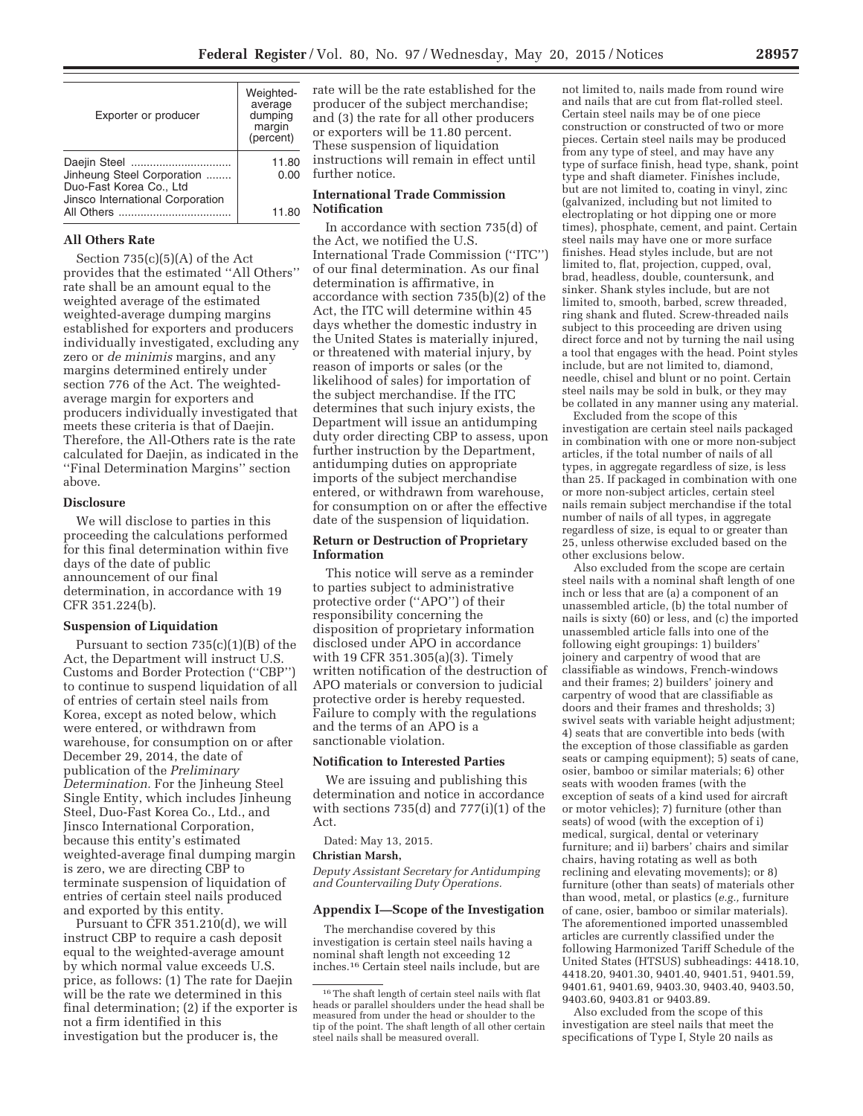| Exporter or producer                                                                                      | Weighted-<br>average<br>dumping<br>margin<br>(percent) |
|-----------------------------------------------------------------------------------------------------------|--------------------------------------------------------|
| Daejin Steel<br>Jinheung Steel Corporation<br>Duo-Fast Korea Co., Ltd<br>Jinsco International Corporation | 11.80<br>0.00                                          |
|                                                                                                           | 11.80                                                  |

### **All Others Rate**

Section  $735(c)(5)(A)$  of the Act provides that the estimated ''All Others'' rate shall be an amount equal to the weighted average of the estimated weighted-average dumping margins established for exporters and producers individually investigated, excluding any zero or *de minimis* margins, and any margins determined entirely under section 776 of the Act. The weightedaverage margin for exporters and producers individually investigated that meets these criteria is that of Daejin. Therefore, the All-Others rate is the rate calculated for Daejin, as indicated in the ''Final Determination Margins'' section above.

#### **Disclosure**

We will disclose to parties in this proceeding the calculations performed for this final determination within five days of the date of public announcement of our final determination, in accordance with 19 CFR 351.224(b).

#### **Suspension of Liquidation**

Pursuant to section  $735(c)(1)(B)$  of the Act, the Department will instruct U.S. Customs and Border Protection (''CBP'') to continue to suspend liquidation of all of entries of certain steel nails from Korea, except as noted below, which were entered, or withdrawn from warehouse, for consumption on or after December 29, 2014, the date of publication of the *Preliminary Determination.* For the Jinheung Steel Single Entity, which includes Jinheung Steel, Duo-Fast Korea Co., Ltd., and Jinsco International Corporation, because this entity's estimated weighted-average final dumping margin is zero, we are directing CBP to terminate suspension of liquidation of entries of certain steel nails produced and exported by this entity.

Pursuant to CFR 351.210(d), we will instruct CBP to require a cash deposit equal to the weighted-average amount by which normal value exceeds U.S. price, as follows: (1) The rate for Daejin will be the rate we determined in this final determination; (2) if the exporter is not a firm identified in this investigation but the producer is, the

rate will be the rate established for the producer of the subject merchandise; and (3) the rate for all other producers or exporters will be 11.80 percent. These suspension of liquidation instructions will remain in effect until further notice.

## **International Trade Commission Notification**

In accordance with section 735(d) of the Act, we notified the U.S. International Trade Commission (''ITC'') of our final determination. As our final determination is affirmative, in accordance with section 735(b)(2) of the Act, the ITC will determine within 45 days whether the domestic industry in the United States is materially injured, or threatened with material injury, by reason of imports or sales (or the likelihood of sales) for importation of the subject merchandise. If the ITC determines that such injury exists, the Department will issue an antidumping duty order directing CBP to assess, upon further instruction by the Department, antidumping duties on appropriate imports of the subject merchandise entered, or withdrawn from warehouse, for consumption on or after the effective date of the suspension of liquidation.

### **Return or Destruction of Proprietary Information**

This notice will serve as a reminder to parties subject to administrative protective order (''APO'') of their responsibility concerning the disposition of proprietary information disclosed under APO in accordance with 19 CFR 351.305(a)(3). Timely written notification of the destruction of APO materials or conversion to judicial protective order is hereby requested. Failure to comply with the regulations and the terms of an APO is a sanctionable violation.

#### **Notification to Interested Parties**

We are issuing and publishing this determination and notice in accordance with sections 735(d) and 777(i)(1) of the Act.

Dated: May 13, 2015.

#### **Christian Marsh,**

*Deputy Assistant Secretary for Antidumping and Countervailing Duty Operations.* 

#### **Appendix I—Scope of the Investigation**

The merchandise covered by this investigation is certain steel nails having a nominal shaft length not exceeding 12 inches.16 Certain steel nails include, but are

not limited to, nails made from round wire and nails that are cut from flat-rolled steel. Certain steel nails may be of one piece construction or constructed of two or more pieces. Certain steel nails may be produced from any type of steel, and may have any type of surface finish, head type, shank, point type and shaft diameter. Finishes include, but are not limited to, coating in vinyl, zinc (galvanized, including but not limited to electroplating or hot dipping one or more times), phosphate, cement, and paint. Certain steel nails may have one or more surface finishes. Head styles include, but are not limited to, flat, projection, cupped, oval, brad, headless, double, countersunk, and sinker. Shank styles include, but are not limited to, smooth, barbed, screw threaded, ring shank and fluted. Screw-threaded nails subject to this proceeding are driven using direct force and not by turning the nail using a tool that engages with the head. Point styles include, but are not limited to, diamond, needle, chisel and blunt or no point. Certain steel nails may be sold in bulk, or they may be collated in any manner using any material.

Excluded from the scope of this investigation are certain steel nails packaged in combination with one or more non-subject articles, if the total number of nails of all types, in aggregate regardless of size, is less than 25. If packaged in combination with one or more non-subject articles, certain steel nails remain subject merchandise if the total number of nails of all types, in aggregate regardless of size, is equal to or greater than 25, unless otherwise excluded based on the other exclusions below.

Also excluded from the scope are certain steel nails with a nominal shaft length of one inch or less that are (a) a component of an unassembled article, (b) the total number of nails is sixty (60) or less, and (c) the imported unassembled article falls into one of the following eight groupings: 1) builders' joinery and carpentry of wood that are classifiable as windows, French-windows and their frames; 2) builders' joinery and carpentry of wood that are classifiable as doors and their frames and thresholds; 3) swivel seats with variable height adjustment; 4) seats that are convertible into beds (with the exception of those classifiable as garden seats or camping equipment); 5) seats of cane, osier, bamboo or similar materials; 6) other seats with wooden frames (with the exception of seats of a kind used for aircraft or motor vehicles); 7) furniture (other than seats) of wood (with the exception of i) medical, surgical, dental or veterinary furniture; and ii) barbers' chairs and similar chairs, having rotating as well as both reclining and elevating movements); or 8) furniture (other than seats) of materials other than wood, metal, or plastics (*e.g.,* furniture of cane, osier, bamboo or similar materials). The aforementioned imported unassembled articles are currently classified under the following Harmonized Tariff Schedule of the United States (HTSUS) subheadings: 4418.10, 4418.20, 9401.30, 9401.40, 9401.51, 9401.59, 9401.61, 9401.69, 9403.30, 9403.40, 9403.50, 9403.60, 9403.81 or 9403.89.

Also excluded from the scope of this investigation are steel nails that meet the specifications of Type I, Style 20 nails as

<sup>16</sup>The shaft length of certain steel nails with flat heads or parallel shoulders under the head shall be measured from under the head or shoulder to the tip of the point. The shaft length of all other certain steel nails shall be measured overall.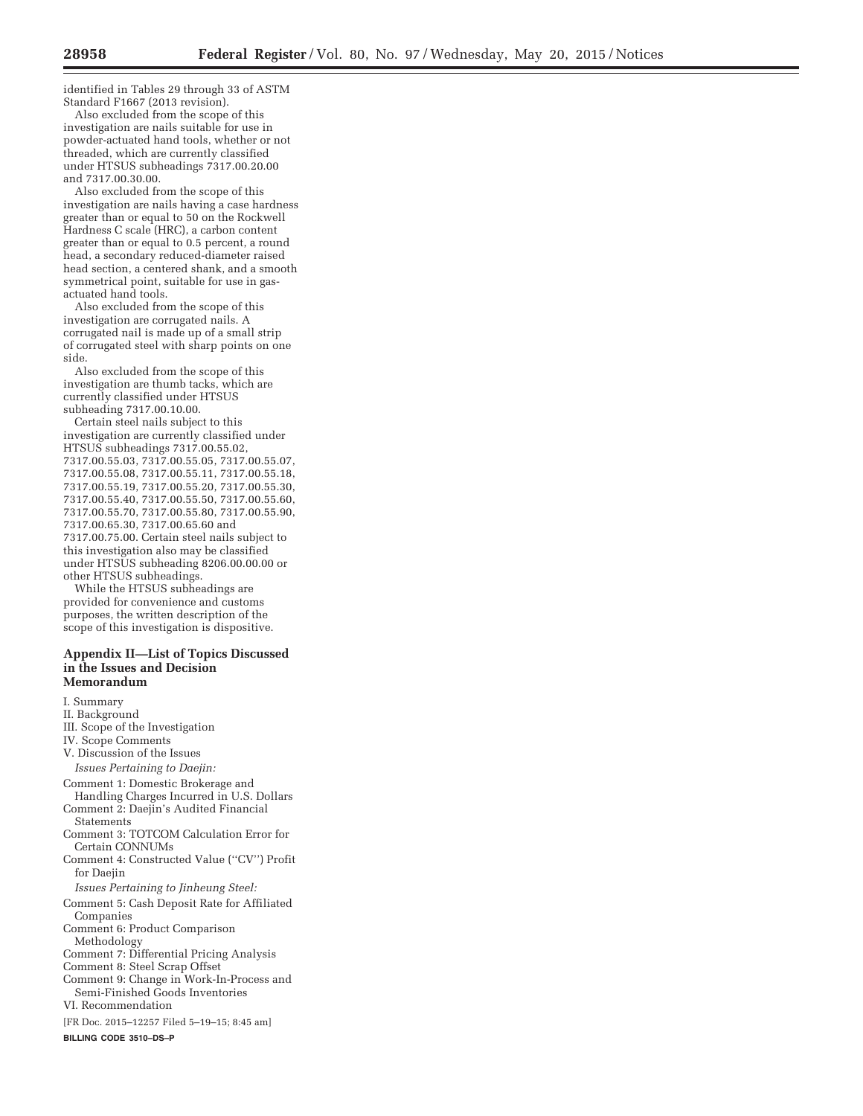identified in Tables 29 through 33 of ASTM Standard F1667 (2013 revision).

Also excluded from the scope of this investigation are nails suitable for use in powder-actuated hand tools, whether or not threaded, which are currently classified under HTSUS subheadings 7317.00.20.00 and 7317.00.30.00.

Also excluded from the scope of this investigation are nails having a case hardness greater than or equal to 50 on the Rockwell Hardness C scale (HRC), a carbon content greater than or equal to 0.5 percent, a round head, a secondary reduced-diameter raised head section, a centered shank, and a smooth symmetrical point, suitable for use in gasactuated hand tools.

Also excluded from the scope of this investigation are corrugated nails. A corrugated nail is made up of a small strip of corrugated steel with sharp points on one side.

Also excluded from the scope of this investigation are thumb tacks, which are currently classified under HTSUS subheading 7317.00.10.00.

Certain steel nails subject to this investigation are currently classified under HTSUS subheadings 7317.00.55.02, 7317.00.55.03, 7317.00.55.05, 7317.00.55.07, 7317.00.55.08, 7317.00.55.11, 7317.00.55.18, 7317.00.55.19, 7317.00.55.20, 7317.00.55.30, 7317.00.55.40, 7317.00.55.50, 7317.00.55.60, 7317.00.55.70, 7317.00.55.80, 7317.00.55.90, 7317.00.65.30, 7317.00.65.60 and 7317.00.75.00. Certain steel nails subject to this investigation also may be classified under HTSUS subheading 8206.00.00.00 or other HTSUS subheadings.

While the HTSUS subheadings are provided for convenience and customs purposes, the written description of the scope of this investigation is dispositive.

#### **Appendix II—List of Topics Discussed in the Issues and Decision Memorandum**

I. Summary II. Background III. Scope of the Investigation IV. Scope Comments V. Discussion of the Issues *Issues Pertaining to Daejin:*  Comment 1: Domestic Brokerage and Handling Charges Incurred in U.S. Dollars Comment 2: Daejin's Audited Financial **Statements** Comment 3: TOTCOM Calculation Error for Certain CONNUMs Comment 4: Constructed Value (''CV'') Profit for Daejin *Issues Pertaining to Jinheung Steel:*  Comment 5: Cash Deposit Rate for Affiliated Companies Comment 6: Product Comparison Methodology Comment 7: Differential Pricing Analysis Comment 8: Steel Scrap Offset Comment 9: Change in Work-In-Process and Semi-Finished Goods Inventories

VI. Recommendation

[FR Doc. 2015–12257 Filed 5–19–15; 8:45 am]

**BILLING CODE 3510–DS–P**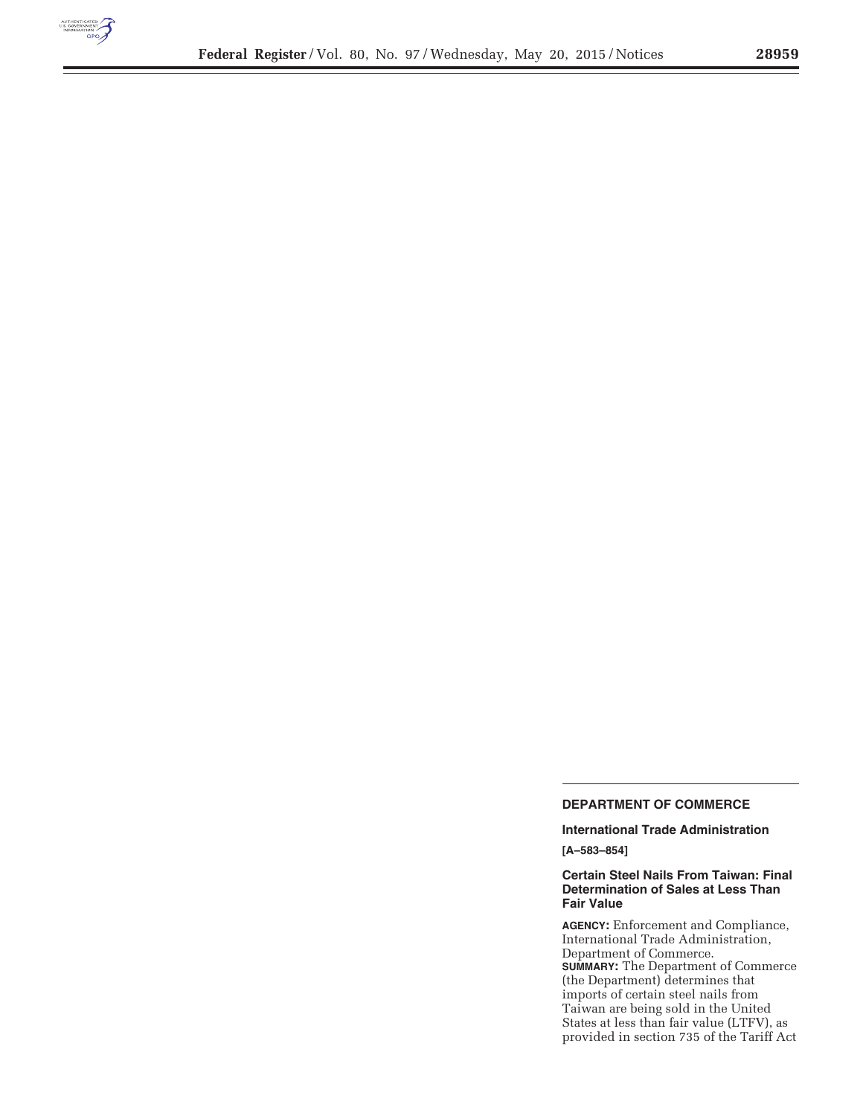

e.

# **DEPARTMENT OF COMMERCE**

**International Trade Administration** 

**[A–583–854]** 

## **Certain Steel Nails From Taiwan: Final Determination of Sales at Less Than Fair Value**

**AGENCY:** Enforcement and Compliance, International Trade Administration, Department of Commerce. **SUMMARY:** The Department of Commerce (the Department) determines that imports of certain steel nails from Taiwan are being sold in the United States at less than fair value (LTFV), as provided in section 735 of the Tariff Act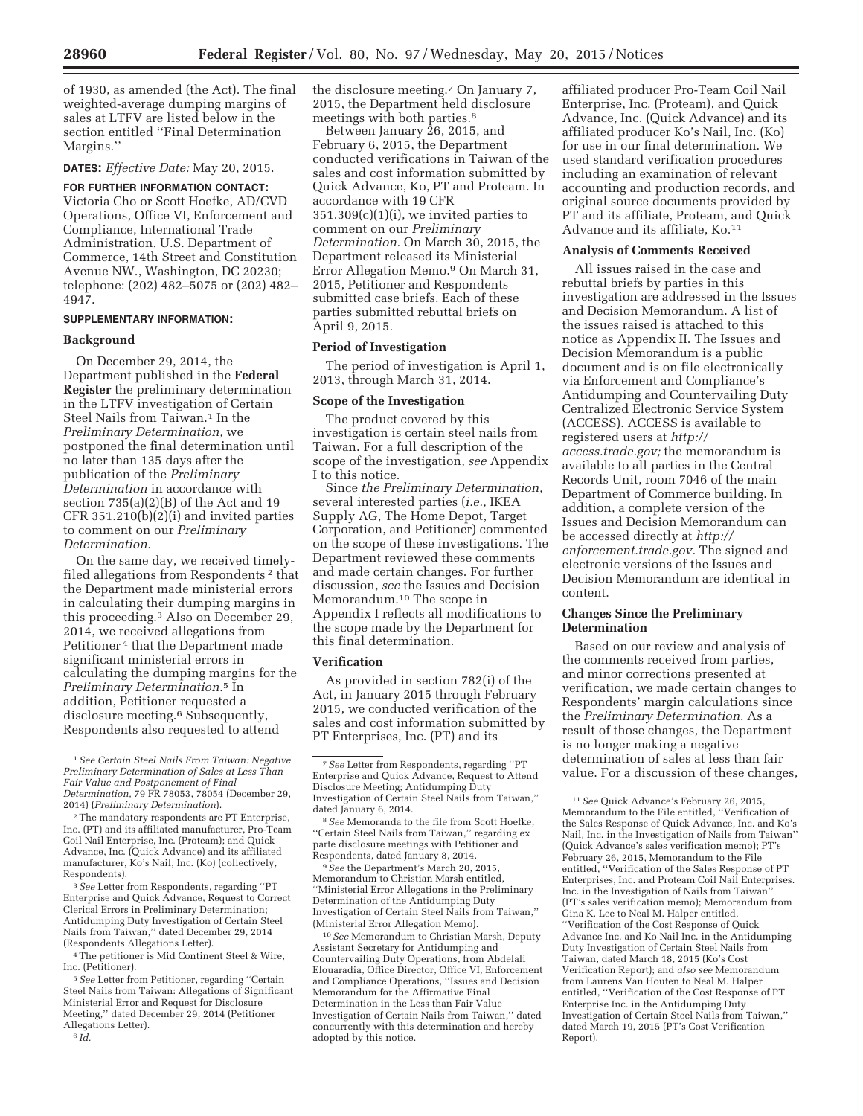of 1930, as amended (the Act). The final weighted-average dumping margins of sales at LTFV are listed below in the section entitled ''Final Determination Margins.''

**DATES:** *Effective Date:* May 20, 2015.

**FOR FURTHER INFORMATION CONTACT:**  Victoria Cho or Scott Hoefke, AD/CVD Operations, Office VI, Enforcement and Compliance, International Trade Administration, U.S. Department of Commerce, 14th Street and Constitution Avenue NW., Washington, DC 20230; telephone: (202) 482–5075 or (202) 482– 4947.

### **SUPPLEMENTARY INFORMATION:**

#### **Background**

On December 29, 2014, the Department published in the **Federal Register** the preliminary determination in the LTFV investigation of Certain Steel Nails from Taiwan.1 In the *Preliminary Determination,* we postponed the final determination until no later than 135 days after the publication of the *Preliminary Determination* in accordance with section 735(a)(2)(B) of the Act and 19 CFR 351.210(b)(2)(i) and invited parties to comment on our *Preliminary Determination.* 

On the same day, we received timelyfiled allegations from Respondents 2 that the Department made ministerial errors in calculating their dumping margins in this proceeding.3 Also on December 29, 2014, we received allegations from Petitioner 4 that the Department made significant ministerial errors in calculating the dumping margins for the *Preliminary Determination.*5 In addition, Petitioner requested a disclosure meeting.<sup>6</sup> Subsequently, Respondents also requested to attend

3*See* Letter from Respondents, regarding ''PT Enterprise and Quick Advance, Request to Correct Clerical Errors in Preliminary Determination; Antidumping Duty Investigation of Certain Steel Nails from Taiwan,'' dated December 29, 2014 (Respondents Allegations Letter).

4The petitioner is Mid Continent Steel & Wire, Inc. (Petitioner).

5*See* Letter from Petitioner, regarding ''Certain Steel Nails from Taiwan: Allegations of Significant Ministerial Error and Request for Disclosure Meeting,'' dated December 29, 2014 (Petitioner Allegations Letter).

6 *Id.* 

the disclosure meeting.7 On January 7, 2015, the Department held disclosure meetings with both parties.<sup>8</sup>

Between January 26, 2015, and February 6, 2015, the Department conducted verifications in Taiwan of the sales and cost information submitted by Quick Advance, Ko, PT and Proteam. In accordance with 19 CFR  $351.309(c)(1)(i)$ , we invited parties to comment on our *Preliminary Determination.* On March 30, 2015, the Department released its Ministerial Error Allegation Memo.9 On March 31, 2015, Petitioner and Respondents submitted case briefs. Each of these parties submitted rebuttal briefs on April 9, 2015.

#### **Period of Investigation**

The period of investigation is April 1, 2013, through March 31, 2014.

#### **Scope of the Investigation**

The product covered by this investigation is certain steel nails from Taiwan. For a full description of the scope of the investigation, *see* Appendix I to this notice.

Since *the Preliminary Determination,*  several interested parties (*i.e.,* IKEA Supply AG, The Home Depot, Target Corporation, and Petitioner) commented on the scope of these investigations. The Department reviewed these comments and made certain changes. For further discussion, *see* the Issues and Decision Memorandum.10 The scope in Appendix I reflects all modifications to the scope made by the Department for this final determination.

#### **Verification**

As provided in section 782(i) of the Act, in January 2015 through February 2015, we conducted verification of the sales and cost information submitted by PT Enterprises, Inc. (PT) and its

8*See* Memoranda to the file from Scott Hoefke, ''Certain Steel Nails from Taiwan,'' regarding ex parte disclosure meetings with Petitioner and Respondents, dated January 8, 2014.

9*See* the Department's March 20, 2015, Memorandum to Christian Marsh entitled, ''Ministerial Error Allegations in the Preliminary Determination of the Antidumping Duty Investigation of Certain Steel Nails from Taiwan,'' (Ministerial Error Allegation Memo).

10*See* Memorandum to Christian Marsh, Deputy Assistant Secretary for Antidumping and Countervailing Duty Operations, from Abdelali Elouaradia, Office Director, Office VI, Enforcement and Compliance Operations, ''Issues and Decision Memorandum for the Affirmative Final Determination in the Less than Fair Value Investigation of Certain Nails from Taiwan,'' dated concurrently with this determination and hereby adopted by this notice.

affiliated producer Pro-Team Coil Nail Enterprise, Inc. (Proteam), and Quick Advance, Inc. (Quick Advance) and its affiliated producer Ko's Nail, Inc. (Ko) for use in our final determination. We used standard verification procedures including an examination of relevant accounting and production records, and original source documents provided by PT and its affiliate, Proteam, and Quick Advance and its affiliate, Ko.<sup>11</sup>

## **Analysis of Comments Received**

All issues raised in the case and rebuttal briefs by parties in this investigation are addressed in the Issues and Decision Memorandum. A list of the issues raised is attached to this notice as Appendix II. The Issues and Decision Memorandum is a public document and is on file electronically via Enforcement and Compliance's Antidumping and Countervailing Duty Centralized Electronic Service System (ACCESS). ACCESS is available to registered users at *http:// access.trade.gov;* the memorandum is available to all parties in the Central Records Unit, room 7046 of the main Department of Commerce building. In addition, a complete version of the Issues and Decision Memorandum can be accessed directly at *http:// enforcement.trade.gov.* The signed and electronic versions of the Issues and Decision Memorandum are identical in content.

## **Changes Since the Preliminary Determination**

Based on our review and analysis of the comments received from parties, and minor corrections presented at verification, we made certain changes to Respondents' margin calculations since the *Preliminary Determination.* As a result of those changes, the Department is no longer making a negative determination of sales at less than fair value. For a discussion of these changes,

<sup>1</sup>*See Certain Steel Nails From Taiwan: Negative Preliminary Determination of Sales at Less Than Fair Value and Postponement of Final Determination,* 79 FR 78053, 78054 (December 29, 2014) (*Preliminary Determination*).

<sup>2</sup>The mandatory respondents are PT Enterprise, Inc. (PT) and its affiliated manufacturer, Pro-Team Coil Nail Enterprise, Inc. (Proteam); and Quick Advance, Inc. (Quick Advance) and its affiliated manufacturer, Ko's Nail, Inc. (Ko) (collectively, Respondents).

<sup>7</sup>*See* Letter from Respondents, regarding ''PT Enterprise and Quick Advance, Request to Attend Disclosure Meeting; Antidumping Duty Investigation of Certain Steel Nails from Taiwan,'' dated January 6, 2014.

<sup>11</sup>*See* Quick Advance's February 26, 2015, Memorandum to the File entitled, ''Verification of the Sales Response of Quick Advance, Inc. and Ko's Nail, Inc. in the Investigation of Nails from Taiwan'' (Quick Advance's sales verification memo); PT's February 26, 2015, Memorandum to the File entitled, ''Verification of the Sales Response of PT Enterprises, Inc. and Proteam Coil Nail Enterprises. Inc. in the Investigation of Nails from Taiwan'' (PT's sales verification memo); Memorandum from Gina K. Lee to Neal M. Halper entitled, ''Verification of the Cost Response of Quick Advance Inc. and Ko Nail Inc. in the Antidumping Duty Investigation of Certain Steel Nails from Taiwan, dated March 18, 2015 (Ko's Cost Verification Report); and *also see* Memorandum from Laurens Van Houten to Neal M. Halper entitled, ''Verification of the Cost Response of PT Enterprise Inc. in the Antidumping Duty Investigation of Certain Steel Nails from Taiwan,'' dated March 19, 2015 (PT's Cost Verification Report).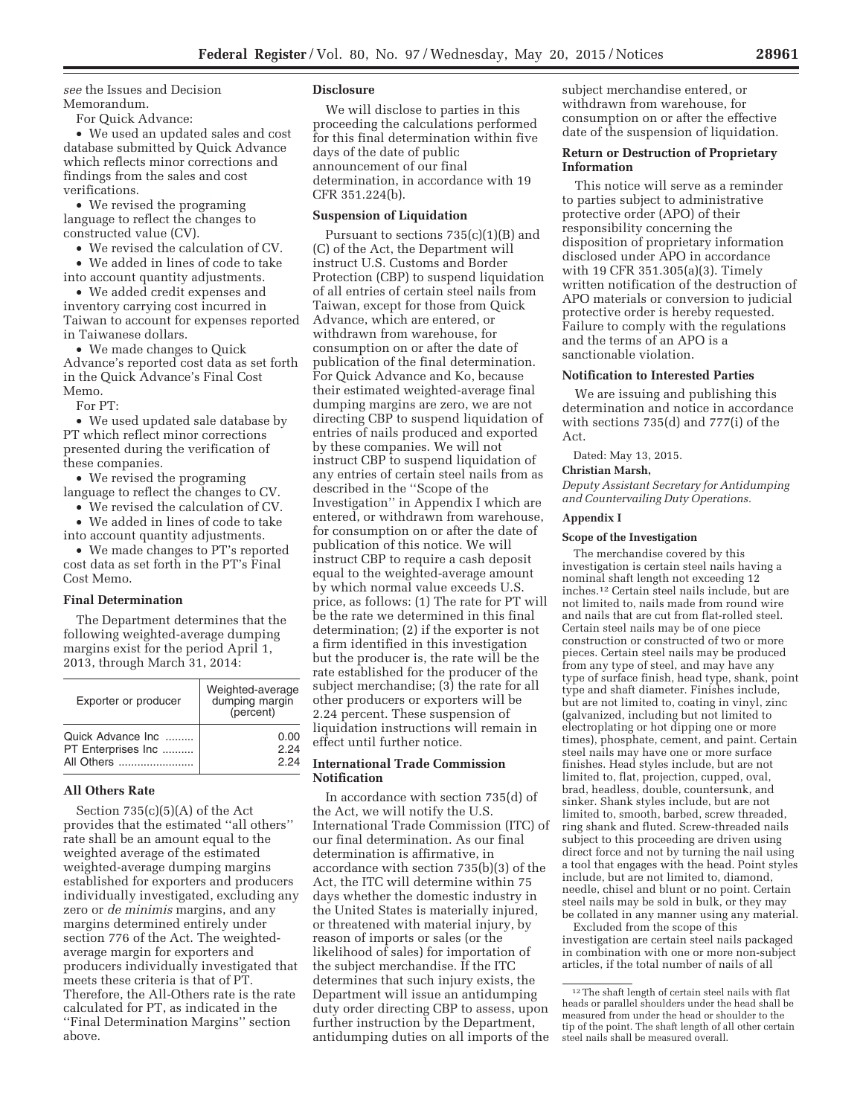*see* the Issues and Decision Memorandum.

For Quick Advance:

• We used an updated sales and cost database submitted by Quick Advance which reflects minor corrections and findings from the sales and cost verifications.

• We revised the programing language to reflect the changes to constructed value (CV).

• We revised the calculation of CV.

• We added in lines of code to take into account quantity adjustments.

• We added credit expenses and inventory carrying cost incurred in Taiwan to account for expenses reported in Taiwanese dollars.

• We made changes to Quick Advance's reported cost data as set forth in the Quick Advance's Final Cost Memo.

For PT:

• We used updated sale database by PT which reflect minor corrections presented during the verification of these companies.

• We revised the programing language to reflect the changes to CV.

• We revised the calculation of CV.

• We added in lines of code to take

into account quantity adjustments.

• We made changes to PT's reported cost data as set forth in the PT's Final Cost Memo.

## **Final Determination**

The Department determines that the following weighted-average dumping margins exist for the period April 1, 2013, through March 31, 2014:

| Exporter or producer | Weighted-average<br>dumping margin<br>(percent) |
|----------------------|-------------------------------------------------|
| Quick Advance Inc    | 0.00                                            |
| PT Enterprises Inc   | 2.24                                            |
| All Others           | 2 24                                            |

#### **All Others Rate**

Section  $735(c)(5)(A)$  of the Act provides that the estimated ''all others'' rate shall be an amount equal to the weighted average of the estimated weighted-average dumping margins established for exporters and producers individually investigated, excluding any zero or *de minimis* margins, and any margins determined entirely under section 776 of the Act. The weightedaverage margin for exporters and producers individually investigated that meets these criteria is that of PT. Therefore, the All-Others rate is the rate calculated for PT, as indicated in the ''Final Determination Margins'' section above.

## **Disclosure**

We will disclose to parties in this proceeding the calculations performed for this final determination within five days of the date of public announcement of our final determination, in accordance with 19 CFR 351.224(b).

## **Suspension of Liquidation**

Pursuant to sections  $735(c)(1)(B)$  and (C) of the Act, the Department will instruct U.S. Customs and Border Protection (CBP) to suspend liquidation of all entries of certain steel nails from Taiwan, except for those from Quick Advance, which are entered, or withdrawn from warehouse, for consumption on or after the date of publication of the final determination. For Quick Advance and Ko, because their estimated weighted-average final dumping margins are zero, we are not directing CBP to suspend liquidation of entries of nails produced and exported by these companies. We will not instruct CBP to suspend liquidation of any entries of certain steel nails from as described in the ''Scope of the Investigation'' in Appendix I which are entered, or withdrawn from warehouse, for consumption on or after the date of publication of this notice. We will instruct CBP to require a cash deposit equal to the weighted-average amount by which normal value exceeds U.S. price, as follows: (1) The rate for PT will be the rate we determined in this final determination; (2) if the exporter is not a firm identified in this investigation but the producer is, the rate will be the rate established for the producer of the subject merchandise; (3) the rate for all other producers or exporters will be 2.24 percent. These suspension of liquidation instructions will remain in effect until further notice.

## **International Trade Commission Notification**

In accordance with section 735(d) of the Act, we will notify the U.S. International Trade Commission (ITC) of our final determination. As our final determination is affirmative, in accordance with section 735(b)(3) of the Act, the ITC will determine within 75 days whether the domestic industry in the United States is materially injured, or threatened with material injury, by reason of imports or sales (or the likelihood of sales) for importation of the subject merchandise. If the ITC determines that such injury exists, the Department will issue an antidumping duty order directing CBP to assess, upon further instruction by the Department, antidumping duties on all imports of the

subject merchandise entered, or withdrawn from warehouse, for consumption on or after the effective date of the suspension of liquidation.

## **Return or Destruction of Proprietary Information**

This notice will serve as a reminder to parties subject to administrative protective order (APO) of their responsibility concerning the disposition of proprietary information disclosed under APO in accordance with 19 CFR 351.305(a)(3). Timely written notification of the destruction of APO materials or conversion to judicial protective order is hereby requested. Failure to comply with the regulations and the terms of an APO is a sanctionable violation.

## **Notification to Interested Parties**

We are issuing and publishing this determination and notice in accordance with sections 735(d) and 777(i) of the Act.

Dated: May 13, 2015.

#### **Christian Marsh,**

*Deputy Assistant Secretary for Antidumping and Countervailing Duty Operations.* 

#### **Appendix I**

## **Scope of the Investigation**

The merchandise covered by this investigation is certain steel nails having a nominal shaft length not exceeding 12 inches.12 Certain steel nails include, but are not limited to, nails made from round wire and nails that are cut from flat-rolled steel. Certain steel nails may be of one piece construction or constructed of two or more pieces. Certain steel nails may be produced from any type of steel, and may have any type of surface finish, head type, shank, point type and shaft diameter. Finishes include, but are not limited to, coating in vinyl, zinc (galvanized, including but not limited to electroplating or hot dipping one or more times), phosphate, cement, and paint. Certain steel nails may have one or more surface finishes. Head styles include, but are not limited to, flat, projection, cupped, oval, brad, headless, double, countersunk, and sinker. Shank styles include, but are not limited to, smooth, barbed, screw threaded, ring shank and fluted. Screw-threaded nails subject to this proceeding are driven using direct force and not by turning the nail using a tool that engages with the head. Point styles include, but are not limited to, diamond, needle, chisel and blunt or no point. Certain steel nails may be sold in bulk, or they may be collated in any manner using any material.

Excluded from the scope of this investigation are certain steel nails packaged in combination with one or more non-subject articles, if the total number of nails of all

<sup>12</sup>The shaft length of certain steel nails with flat heads or parallel shoulders under the head shall be measured from under the head or shoulder to the tip of the point. The shaft length of all other certain steel nails shall be measured overall.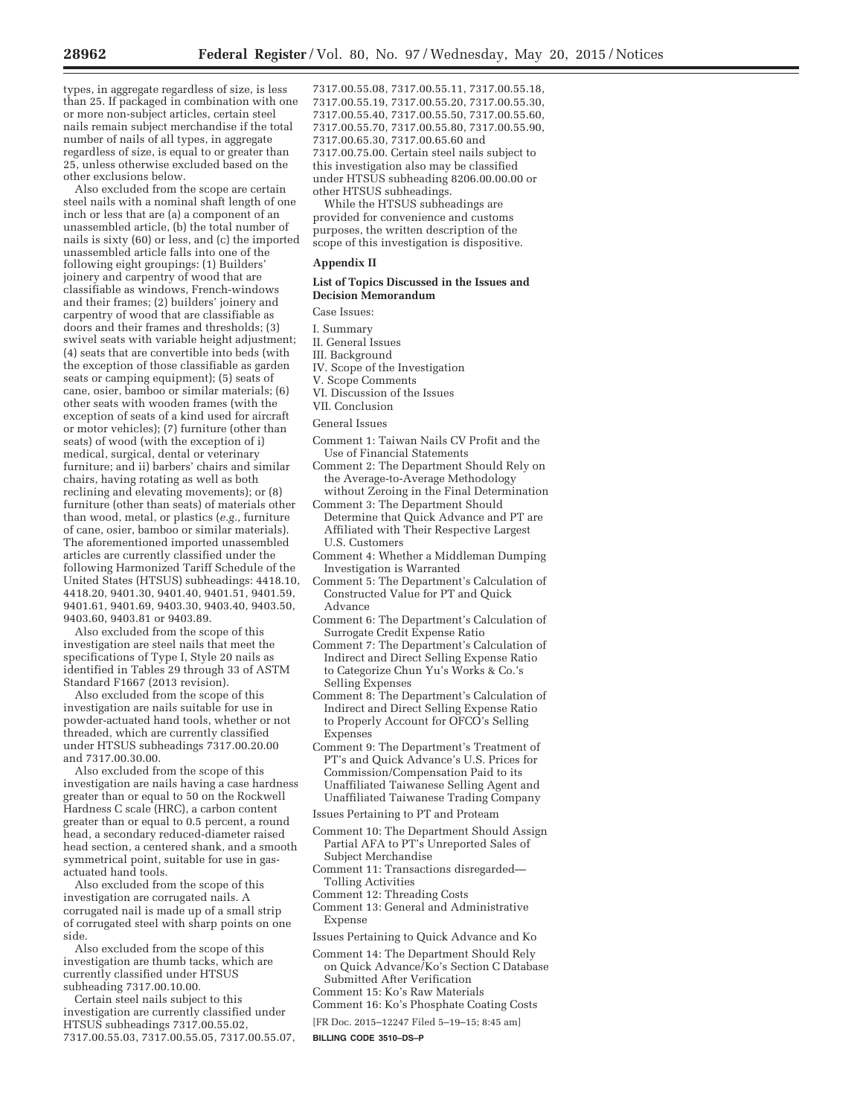types, in aggregate regardless of size, is less than 25. If packaged in combination with one or more non-subject articles, certain steel nails remain subject merchandise if the total number of nails of all types, in aggregate regardless of size, is equal to or greater than 25, unless otherwise excluded based on the other exclusions below.

Also excluded from the scope are certain steel nails with a nominal shaft length of one inch or less that are (a) a component of an unassembled article, (b) the total number of nails is sixty (60) or less, and (c) the imported unassembled article falls into one of the following eight groupings: (1) Builders' joinery and carpentry of wood that are classifiable as windows, French-windows and their frames; (2) builders' joinery and carpentry of wood that are classifiable as doors and their frames and thresholds; (3) swivel seats with variable height adjustment; (4) seats that are convertible into beds (with the exception of those classifiable as garden seats or camping equipment); (5) seats of cane, osier, bamboo or similar materials; (6) other seats with wooden frames (with the exception of seats of a kind used for aircraft or motor vehicles); (7) furniture (other than seats) of wood (with the exception of i) medical, surgical, dental or veterinary furniture; and ii) barbers' chairs and similar chairs, having rotating as well as both reclining and elevating movements); or (8) furniture (other than seats) of materials other than wood, metal, or plastics (*e.g.,* furniture of cane, osier, bamboo or similar materials). The aforementioned imported unassembled articles are currently classified under the following Harmonized Tariff Schedule of the United States (HTSUS) subheadings: 4418.10, 4418.20, 9401.30, 9401.40, 9401.51, 9401.59, 9401.61, 9401.69, 9403.30, 9403.40, 9403.50, 9403.60, 9403.81 or 9403.89.

Also excluded from the scope of this investigation are steel nails that meet the specifications of Type I, Style 20 nails as identified in Tables 29 through 33 of ASTM Standard F1667 (2013 revision).

Also excluded from the scope of this investigation are nails suitable for use in powder-actuated hand tools, whether or not threaded, which are currently classified under HTSUS subheadings 7317.00.20.00 and 7317.00.30.00.

Also excluded from the scope of this investigation are nails having a case hardness greater than or equal to 50 on the Rockwell Hardness C scale (HRC), a carbon content greater than or equal to 0.5 percent, a round head, a secondary reduced-diameter raised head section, a centered shank, and a smooth symmetrical point, suitable for use in gasactuated hand tools.

Also excluded from the scope of this investigation are corrugated nails. A corrugated nail is made up of a small strip of corrugated steel with sharp points on one side.

Also excluded from the scope of this investigation are thumb tacks, which are currently classified under HTSUS subheading 7317.00.10.00.

Certain steel nails subject to this investigation are currently classified under HTSUS subheadings 7317.00.55.02, 7317.00.55.03, 7317.00.55.05, 7317.00.55.07, 7317.00.55.08, 7317.00.55.11, 7317.00.55.18, 7317.00.55.19, 7317.00.55.20, 7317.00.55.30, 7317.00.55.40, 7317.00.55.50, 7317.00.55.60, 7317.00.55.70, 7317.00.55.80, 7317.00.55.90, 7317.00.65.30, 7317.00.65.60 and 7317.00.75.00. Certain steel nails subject to this investigation also may be classified under HTSUS subheading 8206.00.00.00 or other HTSUS subheadings.

While the HTSUS subheadings are provided for convenience and customs purposes, the written description of the scope of this investigation is dispositive.

#### **Appendix II**

## **List of Topics Discussed in the Issues and Decision Memorandum**

Case Issues:

- I. Summary
- II. General Issues
- III. Background
- IV. Scope of the Investigation
- V. Scope Comments
- VI. Discussion of the Issues

### VII. Conclusion

#### General Issues

- Comment 1: Taiwan Nails CV Profit and the Use of Financial Statements
- Comment 2: The Department Should Rely on the Average-to-Average Methodology without Zeroing in the Final Determination
- Comment 3: The Department Should Determine that Quick Advance and PT are Affiliated with Their Respective Largest U.S. Customers
- Comment 4: Whether a Middleman Dumping Investigation is Warranted
- Comment 5: The Department's Calculation of Constructed Value for PT and Quick Advance
- Comment 6: The Department's Calculation of Surrogate Credit Expense Ratio
- Comment 7: The Department's Calculation of Indirect and Direct Selling Expense Ratio to Categorize Chun Yu's Works & Co.'s Selling Expenses
- Comment 8: The Department's Calculation of Indirect and Direct Selling Expense Ratio to Properly Account for OFCO's Selling Expenses
- Comment 9: The Department's Treatment of PT's and Quick Advance's U.S. Prices for Commission/Compensation Paid to its Unaffiliated Taiwanese Selling Agent and Unaffiliated Taiwanese Trading Company
- Issues Pertaining to PT and Proteam
- Comment 10: The Department Should Assign Partial AFA to PT's Unreported Sales of Subject Merchandise
- Comment 11: Transactions disregarded— Tolling Activities
- Comment 12: Threading Costs
- Comment 13: General and Administrative Expense
- Issues Pertaining to Quick Advance and Ko

Comment 14: The Department Should Rely on Quick Advance/Ko's Section C Database Submitted After Verification Comment 15: Ko's Raw Materials

- Comment 16: Ko's Phosphate Coating Costs
- [FR Doc. 2015–12247 Filed 5–19–15; 8:45 am]
- **BILLING CODE 3510–DS–P**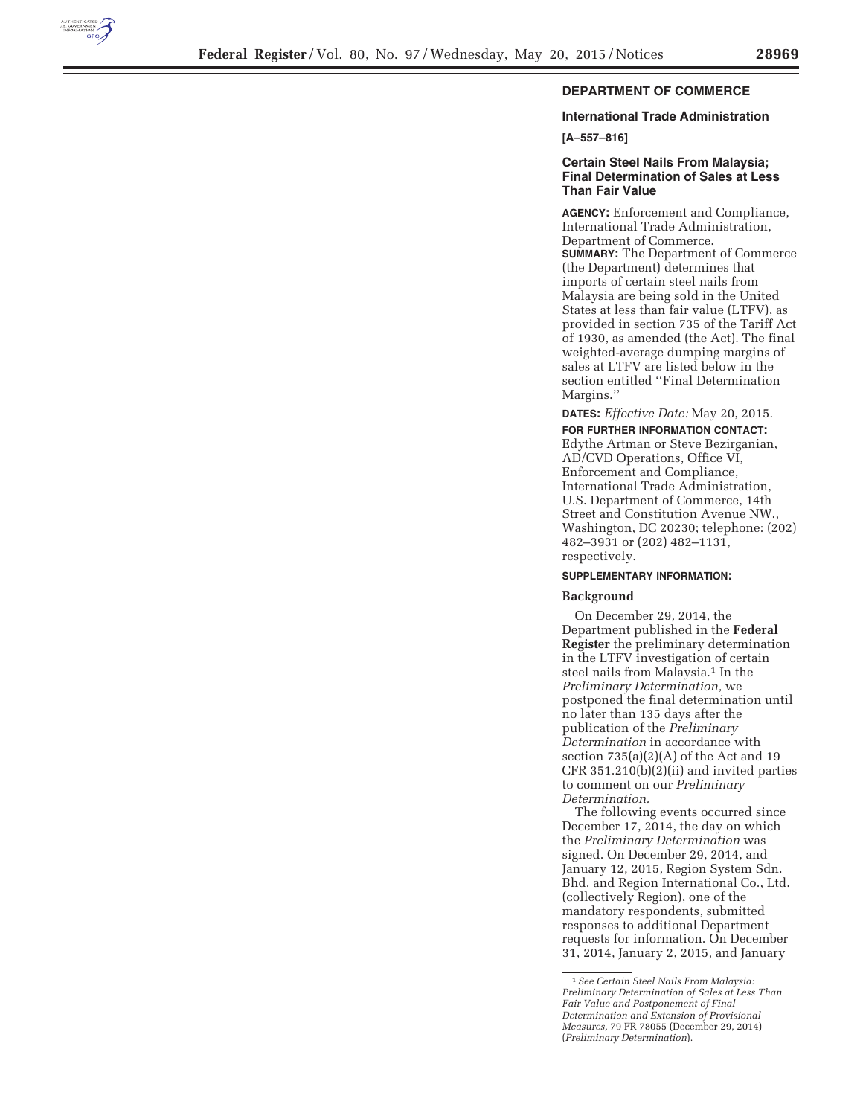

# **DEPARTMENT OF COMMERCE**

## **International Trade Administration**

**[A–557–816]** 

## **Certain Steel Nails From Malaysia; Final Determination of Sales at Less Than Fair Value**

**AGENCY:** Enforcement and Compliance, International Trade Administration, Department of Commerce. **SUMMARY:** The Department of Commerce (the Department) determines that imports of certain steel nails from Malaysia are being sold in the United States at less than fair value (LTFV), as provided in section 735 of the Tariff Act of 1930, as amended (the Act). The final weighted-average dumping margins of sales at LTFV are listed below in the section entitled ''Final Determination Margins.''

**DATES:** *Effective Date:* May 20, 2015.

**FOR FURTHER INFORMATION CONTACT:**  Edythe Artman or Steve Bezirganian, AD/CVD Operations, Office VI, Enforcement and Compliance, International Trade Administration, U.S. Department of Commerce, 14th Street and Constitution Avenue NW., Washington, DC 20230; telephone: (202) 482–3931 or (202) 482–1131, respectively.

#### **SUPPLEMENTARY INFORMATION:**

#### **Background**

On December 29, 2014, the Department published in the **Federal Register** the preliminary determination in the LTFV investigation of certain steel nails from Malaysia.<sup>1</sup> In the *Preliminary Determination,* we postponed the final determination until no later than 135 days after the publication of the *Preliminary Determination* in accordance with section 735(a)(2)(A) of the Act and 19 CFR 351.210(b)(2)(ii) and invited parties to comment on our *Preliminary Determination.* 

The following events occurred since December 17, 2014, the day on which the *Preliminary Determination* was signed. On December 29, 2014, and January 12, 2015, Region System Sdn. Bhd. and Region International Co., Ltd. (collectively Region), one of the mandatory respondents, submitted responses to additional Department requests for information. On December 31, 2014, January 2, 2015, and January

<sup>1</sup>*See Certain Steel Nails From Malaysia: Preliminary Determination of Sales at Less Than Fair Value and Postponement of Final Determination and Extension of Provisional Measures,* 79 FR 78055 (December 29, 2014) (*Preliminary Determination*).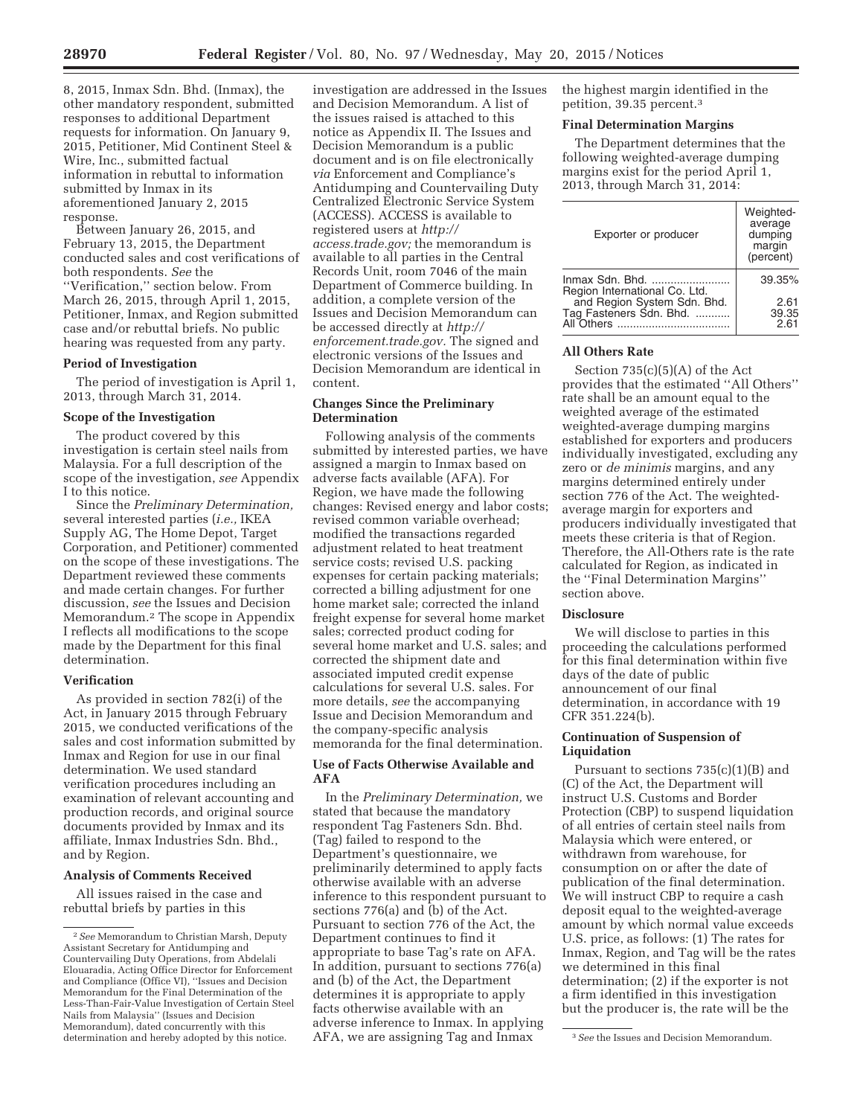8, 2015, Inmax Sdn. Bhd. (Inmax), the other mandatory respondent, submitted responses to additional Department requests for information. On January 9, 2015, Petitioner, Mid Continent Steel & Wire, Inc., submitted factual information in rebuttal to information submitted by Inmax in its aforementioned January 2, 2015 response.

Between January 26, 2015, and February 13, 2015, the Department conducted sales and cost verifications of both respondents. *See* the ''Verification,'' section below. From March 26, 2015, through April 1, 2015, Petitioner, Inmax, and Region submitted case and/or rebuttal briefs. No public hearing was requested from any party.

#### **Period of Investigation**

The period of investigation is April 1, 2013, through March 31, 2014.

## **Scope of the Investigation**

The product covered by this investigation is certain steel nails from Malaysia. For a full description of the scope of the investigation, *see* Appendix I to this notice.

Since the *Preliminary Determination,*  several interested parties (*i.e.,* IKEA Supply AG, The Home Depot, Target Corporation, and Petitioner) commented on the scope of these investigations. The Department reviewed these comments and made certain changes. For further discussion, *see* the Issues and Decision Memorandum.2 The scope in Appendix I reflects all modifications to the scope made by the Department for this final determination.

#### **Verification**

As provided in section 782(i) of the Act, in January 2015 through February 2015, we conducted verifications of the sales and cost information submitted by Inmax and Region for use in our final determination. We used standard verification procedures including an examination of relevant accounting and production records, and original source documents provided by Inmax and its affiliate, Inmax Industries Sdn. Bhd., and by Region.

## **Analysis of Comments Received**

All issues raised in the case and rebuttal briefs by parties in this

investigation are addressed in the Issues and Decision Memorandum. A list of the issues raised is attached to this notice as Appendix II. The Issues and Decision Memorandum is a public document and is on file electronically *via* Enforcement and Compliance's Antidumping and Countervailing Duty Centralized Electronic Service System (ACCESS). ACCESS is available to registered users at *http:// access.trade.gov;* the memorandum is available to all parties in the Central Records Unit, room 7046 of the main Department of Commerce building. In addition, a complete version of the Issues and Decision Memorandum can be accessed directly at *http:// enforcement.trade.gov.* The signed and electronic versions of the Issues and Decision Memorandum are identical in content.

### **Changes Since the Preliminary Determination**

Following analysis of the comments submitted by interested parties, we have assigned a margin to Inmax based on adverse facts available (AFA). For Region, we have made the following changes: Revised energy and labor costs; revised common variable overhead; modified the transactions regarded adjustment related to heat treatment service costs; revised U.S. packing expenses for certain packing materials; corrected a billing adjustment for one home market sale; corrected the inland freight expense for several home market sales; corrected product coding for several home market and U.S. sales; and corrected the shipment date and associated imputed credit expense calculations for several U.S. sales. For more details, *see* the accompanying Issue and Decision Memorandum and the company-specific analysis memoranda for the final determination.

## **Use of Facts Otherwise Available and AFA**

determination and hereby adopted by this notice. AFA, we are assigning Tag and Inmax <sup>3</sup>See the Issues and Decision Memorandum. In the *Preliminary Determination,* we stated that because the mandatory respondent Tag Fasteners Sdn. Bhd. (Tag) failed to respond to the Department's questionnaire, we preliminarily determined to apply facts otherwise available with an adverse inference to this respondent pursuant to sections 776(a) and (b) of the Act. Pursuant to section 776 of the Act, the Department continues to find it appropriate to base Tag's rate on AFA. In addition, pursuant to sections 776(a) and (b) of the Act, the Department determines it is appropriate to apply facts otherwise available with an adverse inference to Inmax. In applying AFA, we are assigning Tag and Inmax

the highest margin identified in the petition, 39.35 percent.3

#### **Final Determination Margins**

The Department determines that the following weighted-average dumping margins exist for the period April 1, 2013, through March 31, 2014:

| Exporter or producer                                   | Weighted-<br>average<br>dumping<br>margin<br>(percent) |
|--------------------------------------------------------|--------------------------------------------------------|
| Inmax Sdn. Bhd.<br>Region International Co. Ltd.       | 39.35%                                                 |
| and Region System Sdn. Bhd.<br>Tag Fasteners Sdn. Bhd. | 2.61<br>39.35<br>2.61                                  |

### **All Others Rate**

Section 735(c)(5)(A) of the Act provides that the estimated ''All Others'' rate shall be an amount equal to the weighted average of the estimated weighted-average dumping margins established for exporters and producers individually investigated, excluding any zero or *de minimis* margins, and any margins determined entirely under section 776 of the Act. The weightedaverage margin for exporters and producers individually investigated that meets these criteria is that of Region. Therefore, the All-Others rate is the rate calculated for Region, as indicated in the ''Final Determination Margins'' section above.

#### **Disclosure**

We will disclose to parties in this proceeding the calculations performed for this final determination within five days of the date of public announcement of our final determination, in accordance with 19 CFR 351.224(b).

## **Continuation of Suspension of Liquidation**

Pursuant to sections 735(c)(1)(B) and (C) of the Act, the Department will instruct U.S. Customs and Border Protection (CBP) to suspend liquidation of all entries of certain steel nails from Malaysia which were entered, or withdrawn from warehouse, for consumption on or after the date of publication of the final determination. We will instruct CBP to require a cash deposit equal to the weighted-average amount by which normal value exceeds U.S. price, as follows: (1) The rates for Inmax, Region, and Tag will be the rates we determined in this final determination; (2) if the exporter is not a firm identified in this investigation but the producer is, the rate will be the

<sup>2</sup>*See* Memorandum to Christian Marsh, Deputy Assistant Secretary for Antidumping and Countervailing Duty Operations, from Abdelali Elouaradia, Acting Office Director for Enforcement and Compliance (Office VI), ''Issues and Decision Memorandum for the Final Determination of the Less-Than-Fair-Value Investigation of Certain Steel Nails from Malaysia'' (Issues and Decision Memorandum), dated concurrently with this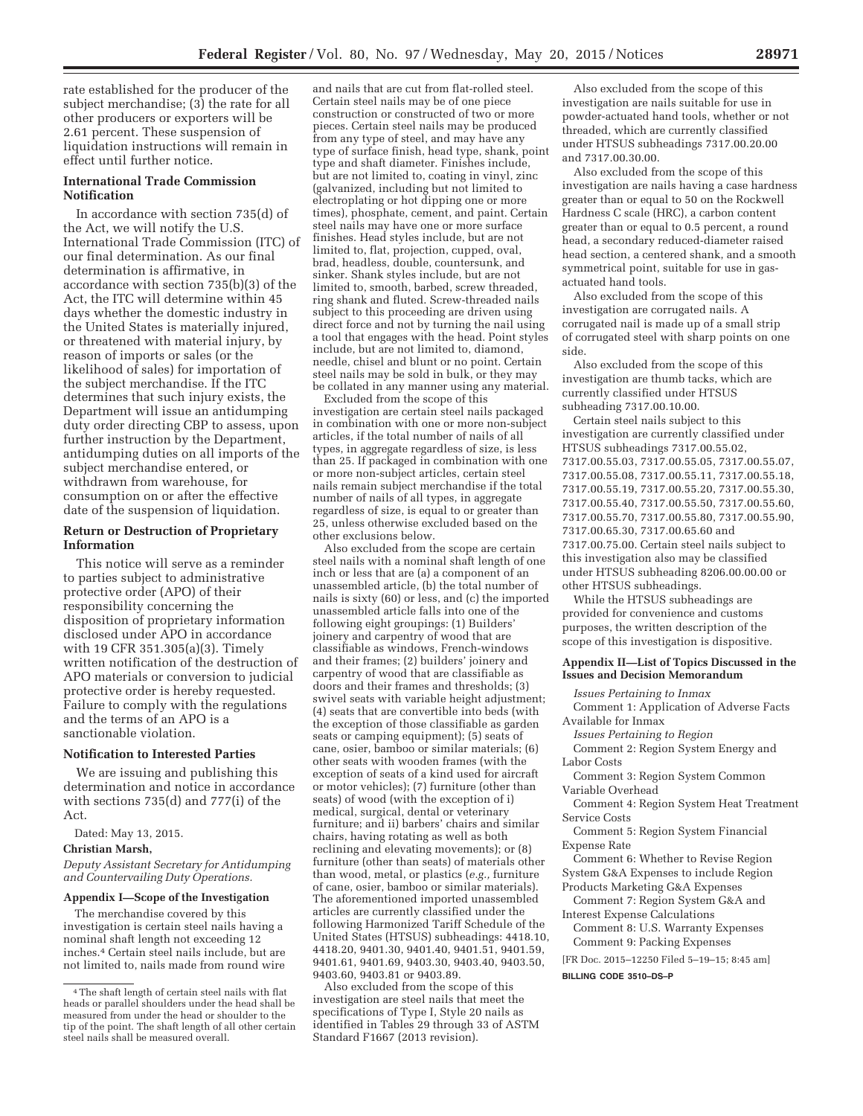rate established for the producer of the subject merchandise; (3) the rate for all other producers or exporters will be 2.61 percent. These suspension of liquidation instructions will remain in effect until further notice.

## **International Trade Commission Notification**

In accordance with section 735(d) of the Act, we will notify the U.S. International Trade Commission (ITC) of our final determination. As our final determination is affirmative, in accordance with section 735(b)(3) of the Act, the ITC will determine within 45 days whether the domestic industry in the United States is materially injured, or threatened with material injury, by reason of imports or sales (or the likelihood of sales) for importation of the subject merchandise. If the ITC determines that such injury exists, the Department will issue an antidumping duty order directing CBP to assess, upon further instruction by the Department, antidumping duties on all imports of the subject merchandise entered, or withdrawn from warehouse, for consumption on or after the effective date of the suspension of liquidation.

#### **Return or Destruction of Proprietary Information**

This notice will serve as a reminder to parties subject to administrative protective order (APO) of their responsibility concerning the disposition of proprietary information disclosed under APO in accordance with 19 CFR 351.305(a)(3). Timely written notification of the destruction of APO materials or conversion to judicial protective order is hereby requested. Failure to comply with the regulations and the terms of an APO is a sanctionable violation.

#### **Notification to Interested Parties**

We are issuing and publishing this determination and notice in accordance with sections 735(d) and 777(i) of the Act.

Dated: May 13, 2015.

#### **Christian Marsh,**

*Deputy Assistant Secretary for Antidumping and Countervailing Duty Operations.* 

## **Appendix I—Scope of the Investigation**

The merchandise covered by this investigation is certain steel nails having a nominal shaft length not exceeding 12 inches.4 Certain steel nails include, but are not limited to, nails made from round wire

and nails that are cut from flat-rolled steel. Certain steel nails may be of one piece construction or constructed of two or more pieces. Certain steel nails may be produced from any type of steel, and may have any type of surface finish, head type, shank, point type and shaft diameter. Finishes include, but are not limited to, coating in vinyl, zinc (galvanized, including but not limited to electroplating or hot dipping one or more times), phosphate, cement, and paint. Certain steel nails may have one or more surface finishes. Head styles include, but are not limited to, flat, projection, cupped, oval, brad, headless, double, countersunk, and sinker. Shank styles include, but are not limited to, smooth, barbed, screw threaded, ring shank and fluted. Screw-threaded nails subject to this proceeding are driven using direct force and not by turning the nail using a tool that engages with the head. Point styles include, but are not limited to, diamond, needle, chisel and blunt or no point. Certain steel nails may be sold in bulk, or they may be collated in any manner using any material.

Excluded from the scope of this investigation are certain steel nails packaged in combination with one or more non-subject articles, if the total number of nails of all types, in aggregate regardless of size, is less than 25. If packaged in combination with one or more non-subject articles, certain steel nails remain subject merchandise if the total number of nails of all types, in aggregate regardless of size, is equal to or greater than 25, unless otherwise excluded based on the other exclusions below.

Also excluded from the scope are certain steel nails with a nominal shaft length of one inch or less that are (a) a component of an unassembled article, (b) the total number of nails is sixty (60) or less, and (c) the imported unassembled article falls into one of the following eight groupings: (1) Builders' joinery and carpentry of wood that are classifiable as windows, French-windows and their frames; (2) builders' joinery and carpentry of wood that are classifiable as doors and their frames and thresholds; (3) swivel seats with variable height adjustment; (4) seats that are convertible into beds (with the exception of those classifiable as garden seats or camping equipment); (5) seats of cane, osier, bamboo or similar materials; (6) other seats with wooden frames (with the exception of seats of a kind used for aircraft or motor vehicles); (7) furniture (other than seats) of wood (with the exception of i) medical, surgical, dental or veterinary furniture; and ii) barbers' chairs and similar chairs, having rotating as well as both reclining and elevating movements); or (8) furniture (other than seats) of materials other than wood, metal, or plastics (*e.g.,* furniture of cane, osier, bamboo or similar materials). The aforementioned imported unassembled articles are currently classified under the following Harmonized Tariff Schedule of the United States (HTSUS) subheadings: 4418.10, 4418.20, 9401.30, 9401.40, 9401.51, 9401.59, 9401.61, 9401.69, 9403.30, 9403.40, 9403.50, 9403.60, 9403.81 or 9403.89.

Also excluded from the scope of this investigation are steel nails that meet the specifications of Type I, Style 20 nails as identified in Tables 29 through 33 of ASTM Standard F1667 (2013 revision).

Also excluded from the scope of this investigation are nails suitable for use in powder-actuated hand tools, whether or not threaded, which are currently classified under HTSUS subheadings 7317.00.20.00 and 7317.00.30.00.

Also excluded from the scope of this investigation are nails having a case hardness greater than or equal to 50 on the Rockwell Hardness C scale (HRC), a carbon content greater than or equal to 0.5 percent, a round head, a secondary reduced-diameter raised head section, a centered shank, and a smooth symmetrical point, suitable for use in gasactuated hand tools.

Also excluded from the scope of this investigation are corrugated nails. A corrugated nail is made up of a small strip of corrugated steel with sharp points on one side.

Also excluded from the scope of this investigation are thumb tacks, which are currently classified under HTSUS subheading 7317.00.10.00.

Certain steel nails subject to this investigation are currently classified under HTSUS subheadings 7317.00.55.02, 7317.00.55.03, 7317.00.55.05, 7317.00.55.07, 7317.00.55.08, 7317.00.55.11, 7317.00.55.18, 7317.00.55.19, 7317.00.55.20, 7317.00.55.30, 7317.00.55.40, 7317.00.55.50, 7317.00.55.60, 7317.00.55.70, 7317.00.55.80, 7317.00.55.90, 7317.00.65.30, 7317.00.65.60 and 7317.00.75.00. Certain steel nails subject to this investigation also may be classified under HTSUS subheading 8206.00.00.00 or other HTSUS subheadings.

While the HTSUS subheadings are provided for convenience and customs purposes, the written description of the scope of this investigation is dispositive.

#### **Appendix II—List of Topics Discussed in the Issues and Decision Memorandum**

*Issues Pertaining to Inmax* 

Comment 1: Application of Adverse Facts Available for Inmax

*Issues Pertaining to Region* 

Comment 2: Region System Energy and Labor Costs

Comment 3: Region System Common Variable Overhead

Comment 4: Region System Heat Treatment Service Costs

Comment 5: Region System Financial Expense Rate

Comment 6: Whether to Revise Region System G&A Expenses to include Region

Products Marketing G&A Expenses

Comment 7: Region System G&A and Interest Expense Calculations

Comment 8: U.S. Warranty Expenses Comment 9: Packing Expenses

[FR Doc. 2015–12250 Filed 5–19–15; 8:45 am]

**BILLING CODE 3510–DS–P** 

<sup>4</sup>The shaft length of certain steel nails with flat heads or parallel shoulders under the head shall be measured from under the head or shoulder to the tip of the point. The shaft length of all other certain steel nails shall be measured overall.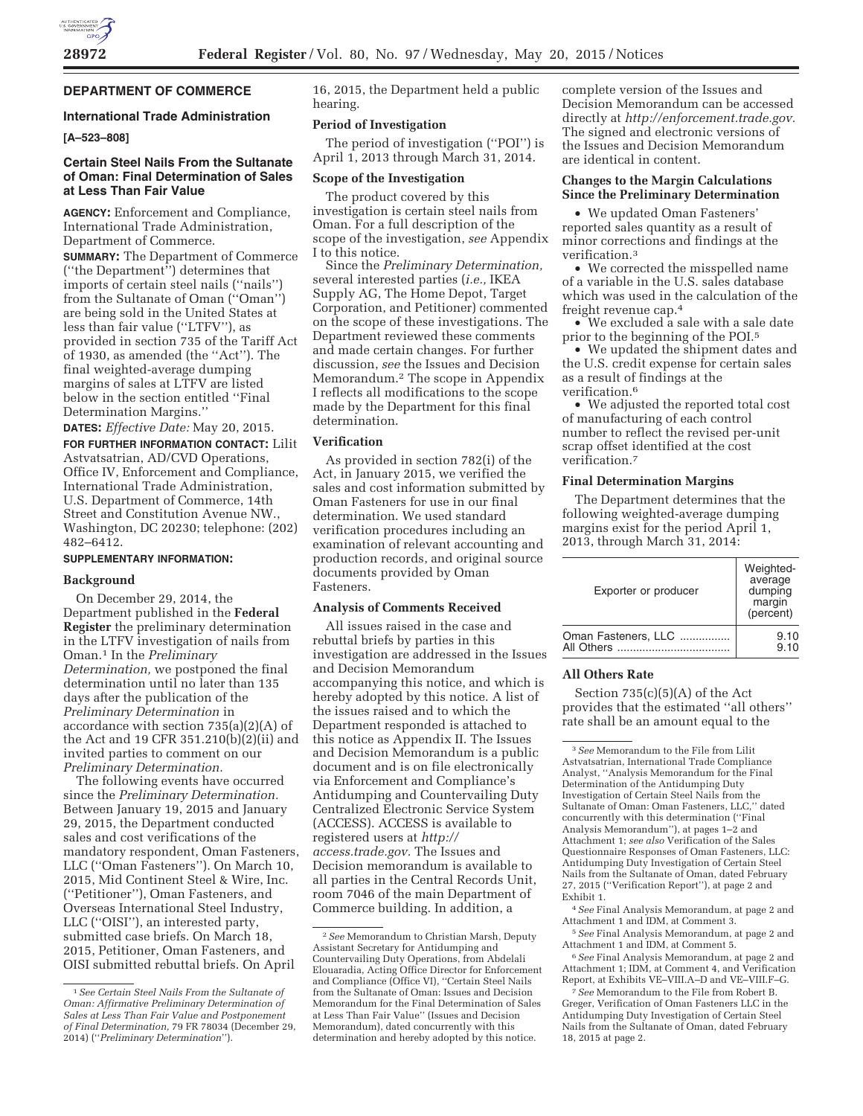

# **DEPARTMENT OF COMMERCE**

## **International Trade Administration**

## **[A–523–808]**

## **Certain Steel Nails From the Sultanate of Oman: Final Determination of Sales at Less Than Fair Value**

**AGENCY:** Enforcement and Compliance, International Trade Administration, Department of Commerce.

**SUMMARY:** The Department of Commerce (''the Department'') determines that imports of certain steel nails (''nails'') from the Sultanate of Oman (''Oman'') are being sold in the United States at less than fair value (''LTFV''), as provided in section 735 of the Tariff Act of 1930, as amended (the ''Act''). The final weighted-average dumping margins of sales at LTFV are listed below in the section entitled ''Final Determination Margins.''

**DATES:** *Effective Date:* May 20, 2015. **FOR FURTHER INFORMATION CONTACT:** Lilit Astvatsatrian, AD/CVD Operations, Office IV, Enforcement and Compliance, International Trade Administration, U.S. Department of Commerce, 14th Street and Constitution Avenue NW., Washington, DC 20230; telephone: (202) 482–6412.

# **SUPPLEMENTARY INFORMATION:**

### **Background**

On December 29, 2014, the Department published in the **Federal Register** the preliminary determination in the LTFV investigation of nails from Oman.1 In the *Preliminary Determination,* we postponed the final determination until no later than 135 days after the publication of the *Preliminary Determination* in accordance with section 735(a)(2)(A) of the Act and 19 CFR 351.210(b)(2)(ii) and invited parties to comment on our *Preliminary Determination.* 

The following events have occurred since the *Preliminary Determination.*  Between January 19, 2015 and January 29, 2015, the Department conducted sales and cost verifications of the mandatory respondent, Oman Fasteners, LLC (''Oman Fasteners''). On March 10, 2015, Mid Continent Steel & Wire, Inc. (''Petitioner''), Oman Fasteners, and Overseas International Steel Industry, LLC (''OISI''), an interested party, submitted case briefs. On March 18, 2015, Petitioner, Oman Fasteners, and OISI submitted rebuttal briefs. On April

16, 2015, the Department held a public hearing.

#### **Period of Investigation**

The period of investigation (''POI'') is April 1, 2013 through March 31, 2014.

## **Scope of the Investigation**

The product covered by this investigation is certain steel nails from Oman. For a full description of the scope of the investigation, *see* Appendix I to this notice.

Since the *Preliminary Determination,*  several interested parties (*i.e.,* IKEA Supply AG, The Home Depot, Target Corporation, and Petitioner) commented on the scope of these investigations. The Department reviewed these comments and made certain changes. For further discussion, *see* the Issues and Decision Memorandum.2 The scope in Appendix I reflects all modifications to the scope made by the Department for this final determination.

#### **Verification**

As provided in section 782(i) of the Act, in January 2015, we verified the sales and cost information submitted by Oman Fasteners for use in our final determination. We used standard verification procedures including an examination of relevant accounting and production records, and original source documents provided by Oman Fasteners.

#### **Analysis of Comments Received**

All issues raised in the case and rebuttal briefs by parties in this investigation are addressed in the Issues and Decision Memorandum accompanying this notice, and which is hereby adopted by this notice. A list of the issues raised and to which the Department responded is attached to this notice as Appendix II. The Issues and Decision Memorandum is a public document and is on file electronically via Enforcement and Compliance's Antidumping and Countervailing Duty Centralized Electronic Service System (ACCESS). ACCESS is available to registered users at *http:// access.trade.gov.* The Issues and Decision memorandum is available to all parties in the Central Records Unit, room 7046 of the main Department of Commerce building. In addition, a

complete version of the Issues and Decision Memorandum can be accessed directly at *http://enforcement.trade.gov.*  The signed and electronic versions of the Issues and Decision Memorandum are identical in content.

### **Changes to the Margin Calculations Since the Preliminary Determination**

• We updated Oman Fasteners' reported sales quantity as a result of minor corrections and findings at the verification.3

• We corrected the misspelled name of a variable in the U.S. sales database which was used in the calculation of the freight revenue cap.4

• We excluded a sale with a sale date prior to the beginning of the POI.5

• We updated the shipment dates and the U.S. credit expense for certain sales as a result of findings at the verification.6

• We adjusted the reported total cost of manufacturing of each control number to reflect the revised per-unit scrap offset identified at the cost verification.7

## **Final Determination Margins**

The Department determines that the following weighted-average dumping margins exist for the period April 1, 2013, through March 31, 2014:

| Exporter or producer | Weighted-<br>average<br>dumping<br>margin<br>(percent) |
|----------------------|--------------------------------------------------------|
| Oman Fasteners, LLC  | 9.10                                                   |
| All Others           | 9.10                                                   |

#### **All Others Rate**

Section  $735(c)(5)(A)$  of the Act provides that the estimated ''all others'' rate shall be an amount equal to the

4*See* Final Analysis Memorandum, at page 2 and Attachment 1 and IDM, at Comment 3.

5*See* Final Analysis Memorandum, at page 2 and Attachment 1 and IDM, at Comment 5.

6*See* Final Analysis Memorandum, at page 2 and Attachment 1; IDM, at Comment 4, and Verification Report, at Exhibits VE–VIII.A–D and VE–VIII.F–G.

7*See* Memorandum to the File from Robert B. Greger, Verification of Oman Fasteners LLC in the Antidumping Duty Investigation of Certain Steel Nails from the Sultanate of Oman, dated February 18, 2015 at page 2.

<sup>1</sup>*See Certain Steel Nails From the Sultanate of Oman: Affirmative Preliminary Determination of Sales at Less Than Fair Value and Postponement of Final Determination,* 79 FR 78034 (December 29, 2014) (''*Preliminary Determination*'').

<sup>2</sup>*See* Memorandum to Christian Marsh, Deputy Assistant Secretary for Antidumping and Countervailing Duty Operations, from Abdelali Elouaradia, Acting Office Director for Enforcement and Compliance (Office VI), ''Certain Steel Nails from the Sultanate of Oman: Issues and Decision Memorandum for the Final Determination of Sales at Less Than Fair Value'' (Issues and Decision Memorandum), dated concurrently with this determination and hereby adopted by this notice.

<sup>3</sup>*See* Memorandum to the File from Lilit Astvatsatrian, International Trade Compliance Analyst, ''Analysis Memorandum for the Final Determination of the Antidumping Duty Investigation of Certain Steel Nails from the Sultanate of Oman: Oman Fasteners, LLC,'' dated concurrently with this determination (''Final Analysis Memorandum''), at pages 1–2 and Attachment 1; *see also* Verification of the Sales Questionnaire Responses of Oman Fasteners, LLC: Antidumping Duty Investigation of Certain Steel Nails from the Sultanate of Oman, dated February 27, 2015 (''Verification Report''), at page 2 and Exhibit 1.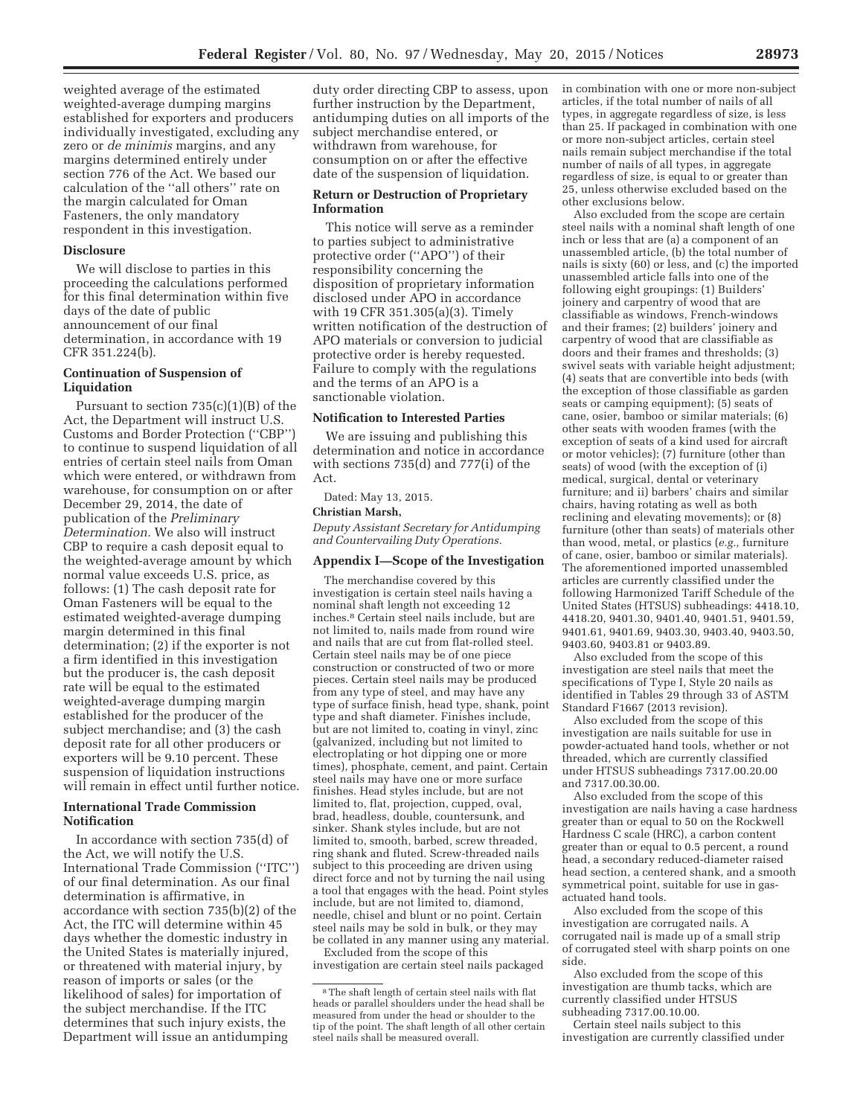weighted average of the estimated weighted-average dumping margins established for exporters and producers individually investigated, excluding any zero or *de minimis* margins, and any margins determined entirely under section 776 of the Act. We based our calculation of the ''all others'' rate on the margin calculated for Oman Fasteners, the only mandatory respondent in this investigation.

#### **Disclosure**

We will disclose to parties in this proceeding the calculations performed for this final determination within five days of the date of public announcement of our final determination, in accordance with 19 CFR 351.224(b).

## **Continuation of Suspension of Liquidation**

Pursuant to section 735(c)(1)(B) of the Act, the Department will instruct U.S. Customs and Border Protection (''CBP'') to continue to suspend liquidation of all entries of certain steel nails from Oman which were entered, or withdrawn from warehouse, for consumption on or after December 29, 2014, the date of publication of the *Preliminary Determination.* We also will instruct CBP to require a cash deposit equal to the weighted-average amount by which normal value exceeds U.S. price, as follows: (1) The cash deposit rate for Oman Fasteners will be equal to the estimated weighted-average dumping margin determined in this final determination; (2) if the exporter is not a firm identified in this investigation but the producer is, the cash deposit rate will be equal to the estimated weighted-average dumping margin established for the producer of the subject merchandise; and (3) the cash deposit rate for all other producers or exporters will be 9.10 percent. These suspension of liquidation instructions will remain in effect until further notice.

## **International Trade Commission Notification**

In accordance with section 735(d) of the Act, we will notify the U.S. International Trade Commission (''ITC'') of our final determination. As our final determination is affirmative, in accordance with section 735(b)(2) of the Act, the ITC will determine within 45 days whether the domestic industry in the United States is materially injured, or threatened with material injury, by reason of imports or sales (or the likelihood of sales) for importation of the subject merchandise. If the ITC determines that such injury exists, the Department will issue an antidumping

duty order directing CBP to assess, upon further instruction by the Department, antidumping duties on all imports of the subject merchandise entered, or withdrawn from warehouse, for consumption on or after the effective date of the suspension of liquidation.

### **Return or Destruction of Proprietary Information**

This notice will serve as a reminder to parties subject to administrative protective order (''APO'') of their responsibility concerning the disposition of proprietary information disclosed under APO in accordance with 19 CFR 351.305(a)(3). Timely written notification of the destruction of APO materials or conversion to judicial protective order is hereby requested. Failure to comply with the regulations and the terms of an APO is a sanctionable violation.

#### **Notification to Interested Parties**

We are issuing and publishing this determination and notice in accordance with sections 735(d) and 777(i) of the Act.

Dated: May 13, 2015.

## **Christian Marsh,**

*Deputy Assistant Secretary for Antidumping and Countervailing Duty Operations.* 

#### **Appendix I—Scope of the Investigation**

The merchandise covered by this investigation is certain steel nails having a nominal shaft length not exceeding 12 inches.8 Certain steel nails include, but are not limited to, nails made from round wire and nails that are cut from flat-rolled steel. Certain steel nails may be of one piece construction or constructed of two or more pieces. Certain steel nails may be produced from any type of steel, and may have any type of surface finish, head type, shank, point type and shaft diameter. Finishes include, but are not limited to, coating in vinyl, zinc (galvanized, including but not limited to electroplating or hot dipping one or more times), phosphate, cement, and paint. Certain steel nails may have one or more surface finishes. Head styles include, but are not limited to, flat, projection, cupped, oval, brad, headless, double, countersunk, and sinker. Shank styles include, but are not limited to, smooth, barbed, screw threaded, ring shank and fluted. Screw-threaded nails subject to this proceeding are driven using direct force and not by turning the nail using a tool that engages with the head. Point styles include, but are not limited to, diamond, needle, chisel and blunt or no point. Certain steel nails may be sold in bulk, or they may be collated in any manner using any material.

Excluded from the scope of this investigation are certain steel nails packaged in combination with one or more non-subject articles, if the total number of nails of all types, in aggregate regardless of size, is less than 25. If packaged in combination with one or more non-subject articles, certain steel nails remain subject merchandise if the total number of nails of all types, in aggregate regardless of size, is equal to or greater than 25, unless otherwise excluded based on the other exclusions below.

Also excluded from the scope are certain steel nails with a nominal shaft length of one inch or less that are (a) a component of an unassembled article, (b) the total number of nails is sixty (60) or less, and (c) the imported unassembled article falls into one of the following eight groupings: (1) Builders' joinery and carpentry of wood that are classifiable as windows, French-windows and their frames; (2) builders' joinery and carpentry of wood that are classifiable as doors and their frames and thresholds; (3) swivel seats with variable height adjustment; (4) seats that are convertible into beds (with the exception of those classifiable as garden seats or camping equipment); (5) seats of cane, osier, bamboo or similar materials; (6) other seats with wooden frames (with the exception of seats of a kind used for aircraft or motor vehicles); (7) furniture (other than seats) of wood (with the exception of (i) medical, surgical, dental or veterinary furniture; and ii) barbers' chairs and similar chairs, having rotating as well as both reclining and elevating movements); or (8) furniture (other than seats) of materials other than wood, metal, or plastics (*e.g.,* furniture of cane, osier, bamboo or similar materials). The aforementioned imported unassembled articles are currently classified under the following Harmonized Tariff Schedule of the United States (HTSUS) subheadings: 4418.10, 4418.20, 9401.30, 9401.40, 9401.51, 9401.59, 9401.61, 9401.69, 9403.30, 9403.40, 9403.50, 9403.60, 9403.81 or 9403.89.

Also excluded from the scope of this investigation are steel nails that meet the specifications of Type I, Style 20 nails as identified in Tables 29 through 33 of ASTM Standard F1667 (2013 revision).

Also excluded from the scope of this investigation are nails suitable for use in powder-actuated hand tools, whether or not threaded, which are currently classified under HTSUS subheadings 7317.00.20.00 and 7317.00.30.00.

Also excluded from the scope of this investigation are nails having a case hardness greater than or equal to 50 on the Rockwell Hardness C scale (HRC), a carbon content greater than or equal to 0.5 percent, a round head, a secondary reduced-diameter raised head section, a centered shank, and a smooth symmetrical point, suitable for use in gasactuated hand tools.

Also excluded from the scope of this investigation are corrugated nails. A corrugated nail is made up of a small strip of corrugated steel with sharp points on one side.

Also excluded from the scope of this investigation are thumb tacks, which are currently classified under HTSUS subheading 7317.00.10.00.

Certain steel nails subject to this investigation are currently classified under

<sup>8</sup>The shaft length of certain steel nails with flat heads or parallel shoulders under the head shall be measured from under the head or shoulder to the tip of the point. The shaft length of all other certain steel nails shall be measured overall.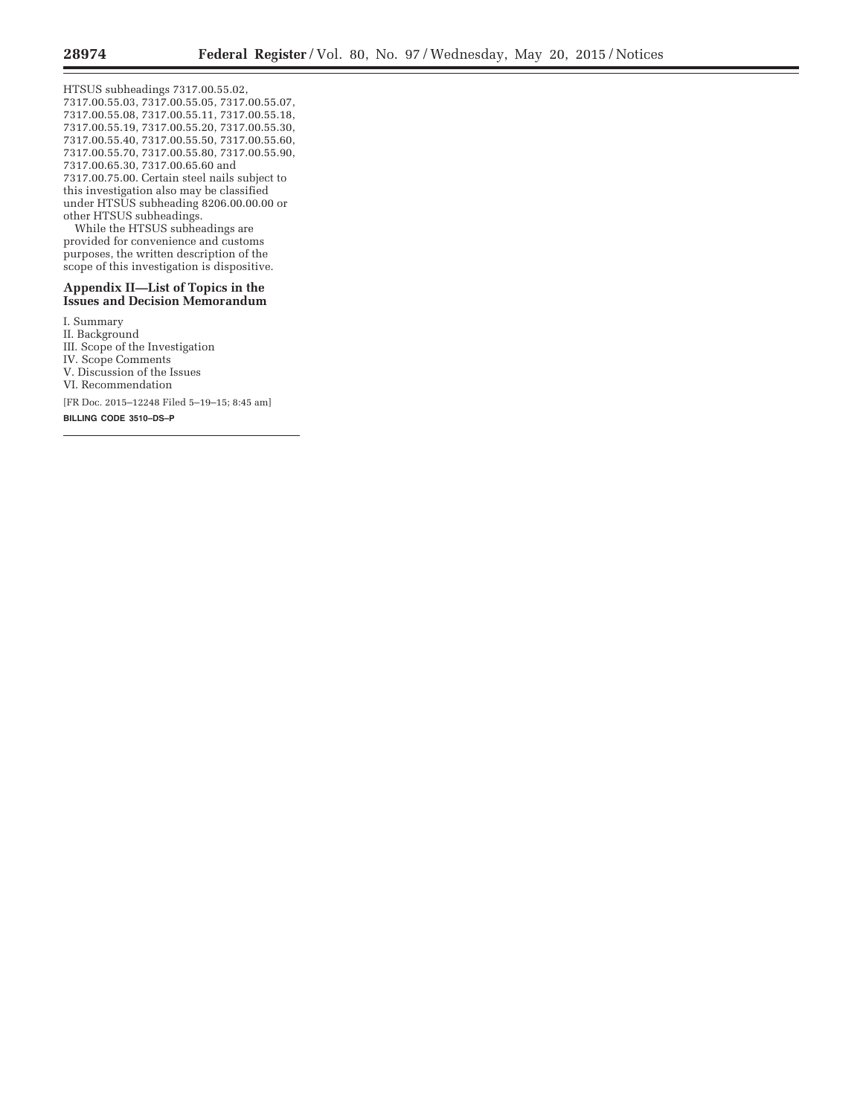Ξ

HTSUS subheadings 7317.00.55.02, 7317.00.55.03, 7317.00.55.05, 7317.00.55.07, 7317.00.55.08, 7317.00.55.11, 7317.00.55.18, 7317.00.55.19, 7317.00.55.20, 7317.00.55.30, 7317.00.55.40, 7317.00.55.50, 7317.00.55.60, 7317.00.55.70, 7317.00.55.80, 7317.00.55.90, 7317.00.65.30, 7317.00.65.60 and 7317.00.75.00. Certain steel nails subject to this investigation also may be classified under HTSUS subheading 8206.00.00.00 or other HTSUS subheadings.

While the HTSUS subheadings are provided for convenience and customs purposes, the written description of the scope of this investigation is dispositive.

## **Appendix II—List of Topics in the Issues and Decision Memorandum**

I. Summary

II. Background

III. Scope of the Investigation

IV. Scope Comments

V. Discussion of the Issues

VI. Recommendation

[FR Doc. 2015–12248 Filed 5–19–15; 8:45 am]

**BILLING CODE 3510–DS–P**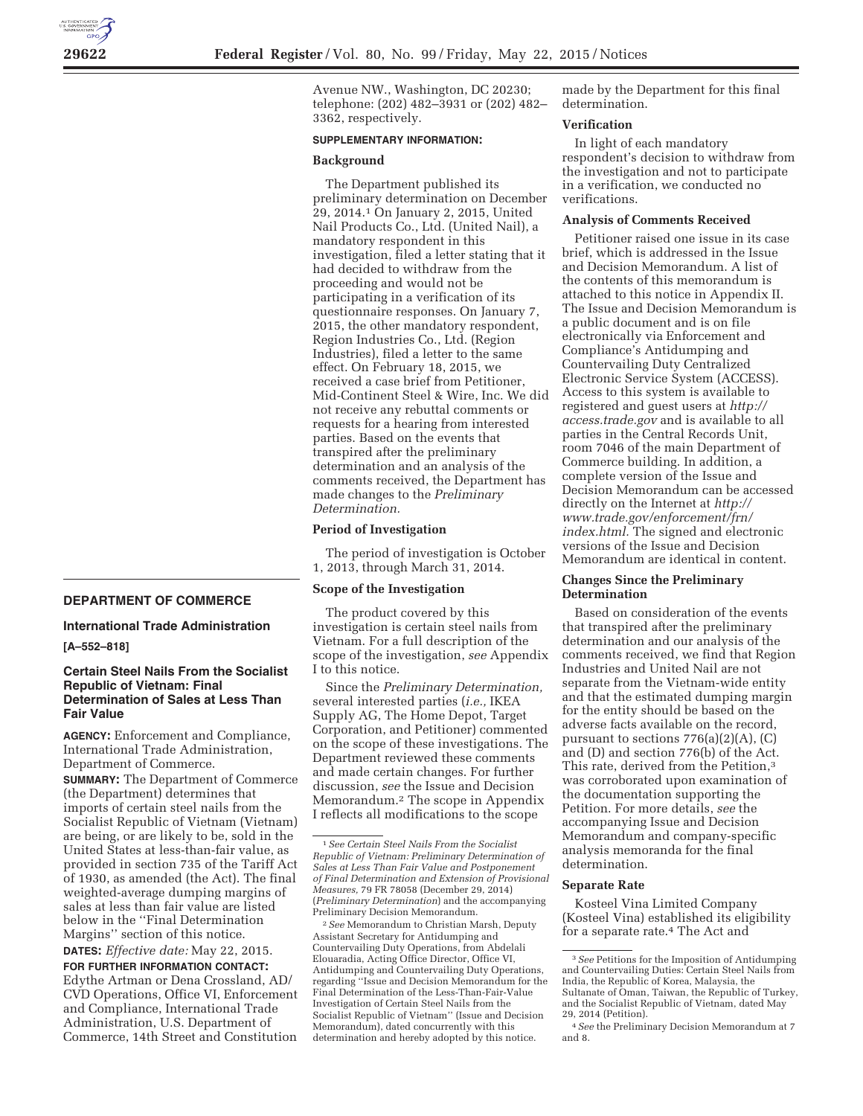**DEPARTMENT OF COMMERCE** 

# **International Trade Administration**

**[A–552–818]** 

## **Certain Steel Nails From the Socialist Republic of Vietnam: Final Determination of Sales at Less Than Fair Value**

**AGENCY:** Enforcement and Compliance, International Trade Administration, Department of Commerce. **SUMMARY:** The Department of Commerce (the Department) determines that imports of certain steel nails from the Socialist Republic of Vietnam (Vietnam) are being, or are likely to be, sold in the United States at less-than-fair value, as provided in section 735 of the Tariff Act of 1930, as amended (the Act). The final weighted-average dumping margins of sales at less than fair value are listed below in the ''Final Determination Margins'' section of this notice. **DATES:** *Effective date:* May 22, 2015.

**FOR FURTHER INFORMATION CONTACT:**  Edythe Artman or Dena Crossland, AD/ CVD Operations, Office VI, Enforcement and Compliance, International Trade Administration, U.S. Department of Commerce, 14th Street and Constitution

Avenue NW., Washington, DC 20230; telephone: (202) 482–3931 or (202) 482– 3362, respectively.

## **SUPPLEMENTARY INFORMATION:**

#### **Background**

The Department published its preliminary determination on December 29, 2014.1 On January 2, 2015, United Nail Products Co., Ltd. (United Nail), a mandatory respondent in this investigation, filed a letter stating that it had decided to withdraw from the proceeding and would not be participating in a verification of its questionnaire responses. On January 7, 2015, the other mandatory respondent, Region Industries Co., Ltd. (Region Industries), filed a letter to the same effect. On February 18, 2015, we received a case brief from Petitioner, Mid-Continent Steel & Wire, Inc. We did not receive any rebuttal comments or requests for a hearing from interested parties. Based on the events that transpired after the preliminary determination and an analysis of the comments received, the Department has made changes to the *Preliminary Determination.* 

#### **Period of Investigation**

The period of investigation is October 1, 2013, through March 31, 2014.

## **Scope of the Investigation**

The product covered by this investigation is certain steel nails from Vietnam. For a full description of the scope of the investigation, *see* Appendix I to this notice.

Since the *Preliminary Determination,*  several interested parties (*i.e.,* IKEA Supply AG, The Home Depot, Target Corporation, and Petitioner) commented on the scope of these investigations. The Department reviewed these comments and made certain changes. For further discussion, *see* the Issue and Decision Memorandum.2 The scope in Appendix I reflects all modifications to the scope

2*See* Memorandum to Christian Marsh, Deputy Assistant Secretary for Antidumping and Countervailing Duty Operations, from Abdelali Elouaradia, Acting Office Director, Office VI, Antidumping and Countervailing Duty Operations, regarding ''Issue and Decision Memorandum for the Final Determination of the Less-Than-Fair-Value Investigation of Certain Steel Nails from the Socialist Republic of Vietnam'' (Issue and Decision Memorandum), dated concurrently with this determination and hereby adopted by this notice.

made by the Department for this final determination.

#### **Verification**

In light of each mandatory respondent's decision to withdraw from the investigation and not to participate in a verification, we conducted no verifications.

### **Analysis of Comments Received**

Petitioner raised one issue in its case brief, which is addressed in the Issue and Decision Memorandum. A list of the contents of this memorandum is attached to this notice in Appendix II. The Issue and Decision Memorandum is a public document and is on file electronically via Enforcement and Compliance's Antidumping and Countervailing Duty Centralized Electronic Service System (ACCESS). Access to this system is available to registered and guest users at *http:// access.trade.gov* and is available to all parties in the Central Records Unit, room 7046 of the main Department of Commerce building. In addition, a complete version of the Issue and Decision Memorandum can be accessed directly on the Internet at *http:// www.trade.gov/enforcement/frn/ index.html.* The signed and electronic versions of the Issue and Decision Memorandum are identical in content.

## **Changes Since the Preliminary Determination**

Based on consideration of the events that transpired after the preliminary determination and our analysis of the comments received, we find that Region Industries and United Nail are not separate from the Vietnam-wide entity and that the estimated dumping margin for the entity should be based on the adverse facts available on the record, pursuant to sections  $776(a)(2)(A)$ , (C) and (D) and section 776(b) of the Act. This rate, derived from the Petition,<sup>3</sup> was corroborated upon examination of the documentation supporting the Petition. For more details, *see* the accompanying Issue and Decision Memorandum and company-specific analysis memoranda for the final determination.

#### **Separate Rate**

Kosteel Vina Limited Company (Kosteel Vina) established its eligibility for a separate rate.4 The Act and

<sup>1</sup>*See Certain Steel Nails From the Socialist Republic of Vietnam: Preliminary Determination of Sales at Less Than Fair Value and Postponement of Final Determination and Extension of Provisional Measures,* 79 FR 78058 (December 29, 2014) (*Preliminary Determination*) and the accompanying Preliminary Decision Memorandum.

<sup>3</sup>*See* Petitions for the Imposition of Antidumping and Countervailing Duties: Certain Steel Nails from India, the Republic of Korea, Malaysia, the Sultanate of Oman, Taiwan, the Republic of Turkey, and the Socialist Republic of Vietnam, dated May<br>29, 2014 (Petition).

<sup>&</sup>lt;sup>4</sup> See the Preliminary Decision Memorandum at 7 and 8.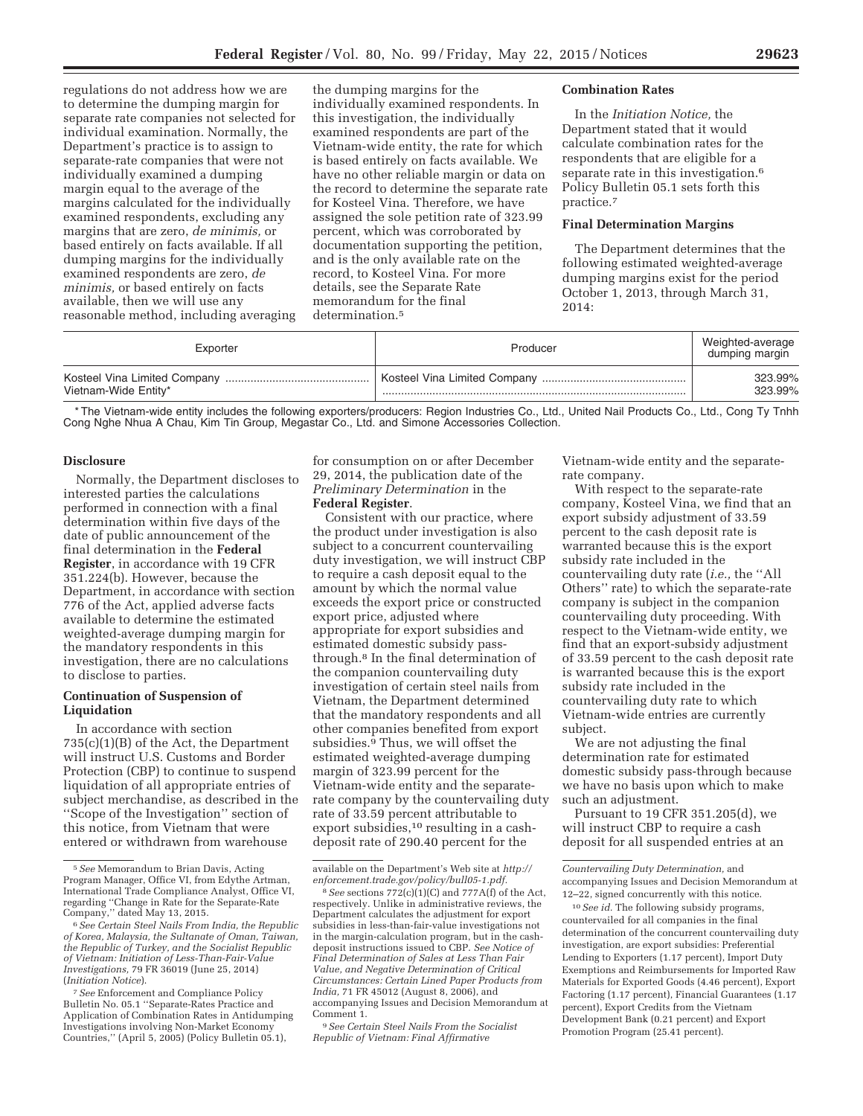regulations do not address how we are to determine the dumping margin for separate rate companies not selected for individual examination. Normally, the Department's practice is to assign to separate-rate companies that were not individually examined a dumping margin equal to the average of the margins calculated for the individually examined respondents, excluding any margins that are zero, *de minimis,* or based entirely on facts available. If all dumping margins for the individually examined respondents are zero, *de minimis,* or based entirely on facts available, then we will use any reasonable method, including averaging

the dumping margins for the individually examined respondents. In this investigation, the individually examined respondents are part of the Vietnam-wide entity, the rate for which is based entirely on facts available. We have no other reliable margin or data on the record to determine the separate rate for Kosteel Vina. Therefore, we have assigned the sole petition rate of 323.99 percent, which was corroborated by documentation supporting the petition, and is the only available rate on the record, to Kosteel Vina. For more details, see the Separate Rate memorandum for the final determination.<sup>5</sup>

#### **Combination Rates**

In the *Initiation Notice,* the Department stated that it would calculate combination rates for the respondents that are eligible for a separate rate in this investigation.<sup>6</sup> Policy Bulletin 05.1 sets forth this practice.7

#### **Final Determination Margins**

The Department determines that the following estimated weighted-average dumping margins exist for the period October 1, 2013, through March 31, 2014:

| Exporter             | Producer | Weighted-average<br>dumping margin |
|----------------------|----------|------------------------------------|
|                      |          | 323.99%                            |
| Vietnam-Wide Entity* |          | 323.99%                            |

\* The Vietnam-wide entity includes the following exporters/producers: Region Industries Co., Ltd., United Nail Products Co., Ltd., Cong Ty Tnhh Cong Nghe Nhua A Chau, Kim Tin Group, Megastar Co., Ltd. and Simone Accessories Collection.

## **Disclosure**

Normally, the Department discloses to interested parties the calculations performed in connection with a final determination within five days of the date of public announcement of the final determination in the **Federal Register**, in accordance with 19 CFR 351.224(b). However, because the Department, in accordance with section 776 of the Act, applied adverse facts available to determine the estimated weighted-average dumping margin for the mandatory respondents in this investigation, there are no calculations to disclose to parties.

## **Continuation of Suspension of Liquidation**

In accordance with section 735(c)(1)(B) of the Act, the Department will instruct U.S. Customs and Border Protection (CBP) to continue to suspend liquidation of all appropriate entries of subject merchandise, as described in the ''Scope of the Investigation'' section of this notice, from Vietnam that were entered or withdrawn from warehouse

for consumption on or after December 29, 2014, the publication date of the *Preliminary Determination* in the **Federal Register**.

Consistent with our practice, where the product under investigation is also subject to a concurrent countervailing duty investigation, we will instruct CBP to require a cash deposit equal to the amount by which the normal value exceeds the export price or constructed export price, adjusted where appropriate for export subsidies and estimated domestic subsidy passthrough.8 In the final determination of the companion countervailing duty investigation of certain steel nails from Vietnam, the Department determined that the mandatory respondents and all other companies benefited from export subsidies.9 Thus, we will offset the estimated weighted-average dumping margin of 323.99 percent for the Vietnam-wide entity and the separaterate company by the countervailing duty rate of 33.59 percent attributable to export subsidies,<sup>10</sup> resulting in a cashdeposit rate of 290.40 percent for the

9*See Certain Steel Nails From the Socialist Republic of Vietnam: Final Affirmative* 

Vietnam-wide entity and the separaterate company.

With respect to the separate-rate company, Kosteel Vina, we find that an export subsidy adjustment of 33.59 percent to the cash deposit rate is warranted because this is the export subsidy rate included in the countervailing duty rate (*i.e.,* the ''All Others'' rate) to which the separate-rate company is subject in the companion countervailing duty proceeding. With respect to the Vietnam-wide entity, we find that an export-subsidy adjustment of 33.59 percent to the cash deposit rate is warranted because this is the export subsidy rate included in the countervailing duty rate to which Vietnam-wide entries are currently subject.

We are not adjusting the final determination rate for estimated domestic subsidy pass-through because we have no basis upon which to make such an adjustment.

Pursuant to 19 CFR 351.205(d), we will instruct CBP to require a cash deposit for all suspended entries at an

10*See id.* The following subsidy programs, countervailed for all companies in the final determination of the concurrent countervailing duty investigation, are export subsidies: Preferential Lending to Exporters (1.17 percent), Import Duty Exemptions and Reimbursements for Imported Raw Materials for Exported Goods (4.46 percent), Export Factoring (1.17 percent), Financial Guarantees (1.17 percent), Export Credits from the Vietnam Development Bank (0.21 percent) and Export Promotion Program (25.41 percent).

<sup>5</sup>*See* Memorandum to Brian Davis, Acting Program Manager, Office VI, from Edythe Artman, International Trade Compliance Analyst, Office VI, regarding ''Change in Rate for the Separate-Rate

<sup>&</sup>lt;sup>6</sup> See Certain Steel Nails From India, the Republic *of Korea, Malaysia, the Sultanate of Oman, Taiwan, the Republic of Turkey, and the Socialist Republic of Vietnam: Initiation of Less-Than-Fair-Value Investigations,* 79 FR 36019 (June 25, 2014) (*Initiation Notice*).

<sup>7</sup>*See* Enforcement and Compliance Policy Bulletin No. 05.1 ''Separate-Rates Practice and Application of Combination Rates in Antidumping Investigations involving Non-Market Economy Countries,'' (April 5, 2005) (Policy Bulletin 05.1),

available on the Department's Web site at *http:// enforcement.trade.gov/policy/bull05-1.pdf.* 

<sup>8</sup>*See* sections 772(c)(1)(C) and 777A(f) of the Act, respectively. Unlike in administrative reviews, the Department calculates the adjustment for export subsidies in less-than-fair-value investigations not in the margin-calculation program, but in the cashdeposit instructions issued to CBP. *See Notice of Final Determination of Sales at Less Than Fair Value, and Negative Determination of Critical Circumstances: Certain Lined Paper Products from India,* 71 FR 45012 (August 8, 2006), and accompanying Issues and Decision Memorandum at Comment 1.

*Countervailing Duty Determination,* and accompanying Issues and Decision Memorandum at 12–22, signed concurrently with this notice.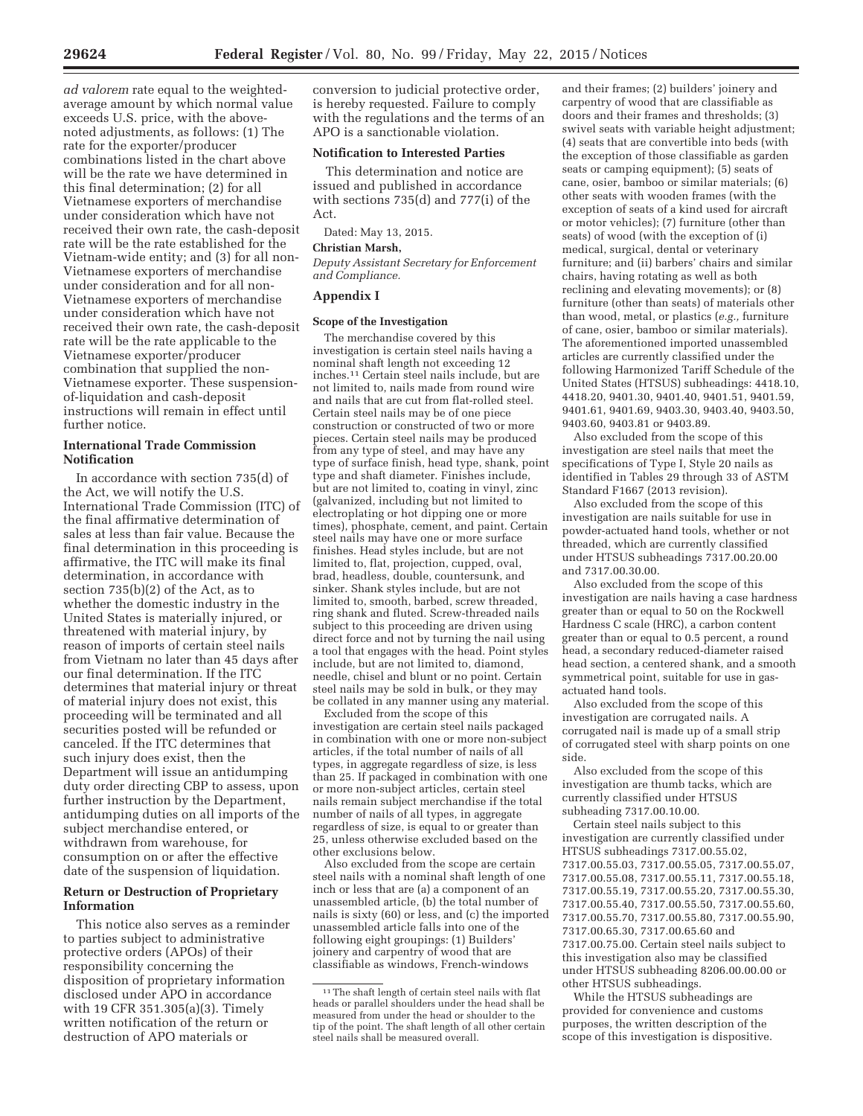*ad valorem* rate equal to the weightedaverage amount by which normal value exceeds U.S. price, with the abovenoted adjustments, as follows: (1) The rate for the exporter/producer combinations listed in the chart above will be the rate we have determined in this final determination; (2) for all Vietnamese exporters of merchandise under consideration which have not received their own rate, the cash-deposit rate will be the rate established for the Vietnam-wide entity; and (3) for all non-Vietnamese exporters of merchandise under consideration and for all non-Vietnamese exporters of merchandise under consideration which have not received their own rate, the cash-deposit rate will be the rate applicable to the Vietnamese exporter/producer combination that supplied the non-Vietnamese exporter. These suspensionof-liquidation and cash-deposit instructions will remain in effect until further notice.

## **International Trade Commission Notification**

In accordance with section 735(d) of the Act, we will notify the U.S. International Trade Commission (ITC) of the final affirmative determination of sales at less than fair value. Because the final determination in this proceeding is affirmative, the ITC will make its final determination, in accordance with section 735(b)(2) of the Act, as to whether the domestic industry in the United States is materially injured, or threatened with material injury, by reason of imports of certain steel nails from Vietnam no later than 45 days after our final determination. If the ITC determines that material injury or threat of material injury does not exist, this proceeding will be terminated and all securities posted will be refunded or canceled. If the ITC determines that such injury does exist, then the Department will issue an antidumping duty order directing CBP to assess, upon further instruction by the Department, antidumping duties on all imports of the subject merchandise entered, or withdrawn from warehouse, for consumption on or after the effective date of the suspension of liquidation.

## **Return or Destruction of Proprietary Information**

This notice also serves as a reminder to parties subject to administrative protective orders (APOs) of their responsibility concerning the disposition of proprietary information disclosed under APO in accordance with 19 CFR 351.305(a)(3). Timely written notification of the return or destruction of APO materials or

conversion to judicial protective order, is hereby requested. Failure to comply with the regulations and the terms of an APO is a sanctionable violation.

## **Notification to Interested Parties**

This determination and notice are issued and published in accordance with sections 735(d) and 777(i) of the Act.

Dated: May 13, 2015.

# **Christian Marsh,**

*Deputy Assistant Secretary for Enforcement and Compliance.* 

## **Appendix I**

#### **Scope of the Investigation**

The merchandise covered by this investigation is certain steel nails having a nominal shaft length not exceeding 12 inches.11 Certain steel nails include, but are not limited to, nails made from round wire and nails that are cut from flat-rolled steel. Certain steel nails may be of one piece construction or constructed of two or more pieces. Certain steel nails may be produced from any type of steel, and may have any type of surface finish, head type, shank, point type and shaft diameter. Finishes include, but are not limited to, coating in vinyl, zinc (galvanized, including but not limited to electroplating or hot dipping one or more times), phosphate, cement, and paint. Certain steel nails may have one or more surface finishes. Head styles include, but are not limited to, flat, projection, cupped, oval, brad, headless, double, countersunk, and sinker. Shank styles include, but are not limited to, smooth, barbed, screw threaded, ring shank and fluted. Screw-threaded nails subject to this proceeding are driven using direct force and not by turning the nail using a tool that engages with the head. Point styles include, but are not limited to, diamond, needle, chisel and blunt or no point. Certain steel nails may be sold in bulk, or they may be collated in any manner using any material.

Excluded from the scope of this investigation are certain steel nails packaged in combination with one or more non-subject articles, if the total number of nails of all types, in aggregate regardless of size, is less than 25. If packaged in combination with one or more non-subject articles, certain steel nails remain subject merchandise if the total number of nails of all types, in aggregate regardless of size, is equal to or greater than 25, unless otherwise excluded based on the other exclusions below.

Also excluded from the scope are certain steel nails with a nominal shaft length of one inch or less that are (a) a component of an unassembled article, (b) the total number of nails is sixty (60) or less, and (c) the imported unassembled article falls into one of the following eight groupings: (1) Builders' joinery and carpentry of wood that are classifiable as windows, French-windows

and their frames; (2) builders' joinery and carpentry of wood that are classifiable as doors and their frames and thresholds; (3) swivel seats with variable height adjustment; (4) seats that are convertible into beds (with the exception of those classifiable as garden seats or camping equipment); (5) seats of cane, osier, bamboo or similar materials; (6) other seats with wooden frames (with the exception of seats of a kind used for aircraft or motor vehicles); (7) furniture (other than seats) of wood (with the exception of (i) medical, surgical, dental or veterinary furniture; and (ii) barbers' chairs and similar chairs, having rotating as well as both reclining and elevating movements); or (8) furniture (other than seats) of materials other than wood, metal, or plastics (*e.g.,* furniture of cane, osier, bamboo or similar materials). The aforementioned imported unassembled articles are currently classified under the following Harmonized Tariff Schedule of the United States (HTSUS) subheadings: 4418.10, 4418.20, 9401.30, 9401.40, 9401.51, 9401.59, 9401.61, 9401.69, 9403.30, 9403.40, 9403.50, 9403.60, 9403.81 or 9403.89.

Also excluded from the scope of this investigation are steel nails that meet the specifications of Type I, Style 20 nails as identified in Tables 29 through 33 of ASTM Standard F1667 (2013 revision).

Also excluded from the scope of this investigation are nails suitable for use in powder-actuated hand tools, whether or not threaded, which are currently classified under HTSUS subheadings 7317.00.20.00 and 7317.00.30.00.

Also excluded from the scope of this investigation are nails having a case hardness greater than or equal to 50 on the Rockwell Hardness C scale (HRC), a carbon content greater than or equal to 0.5 percent, a round head, a secondary reduced-diameter raised head section, a centered shank, and a smooth symmetrical point, suitable for use in gasactuated hand tools.

Also excluded from the scope of this investigation are corrugated nails. A corrugated nail is made up of a small strip of corrugated steel with sharp points on one side.

Also excluded from the scope of this investigation are thumb tacks, which are currently classified under HTSUS subheading 7317.00.10.00.

Certain steel nails subject to this investigation are currently classified under HTSUS subheadings 7317.00.55.02, 7317.00.55.03, 7317.00.55.05, 7317.00.55.07, 7317.00.55.08, 7317.00.55.11, 7317.00.55.18, 7317.00.55.19, 7317.00.55.20, 7317.00.55.30, 7317.00.55.40, 7317.00.55.50, 7317.00.55.60, 7317.00.55.70, 7317.00.55.80, 7317.00.55.90, 7317.00.65.30, 7317.00.65.60 and 7317.00.75.00. Certain steel nails subject to this investigation also may be classified under HTSUS subheading 8206.00.00.00 or other HTSUS subheadings.

While the HTSUS subheadings are provided for convenience and customs purposes, the written description of the scope of this investigation is dispositive.

<sup>11</sup>The shaft length of certain steel nails with flat heads or parallel shoulders under the head shall be measured from under the head or shoulder to the tip of the point. The shaft length of all other certain steel nails shall be measured overall.